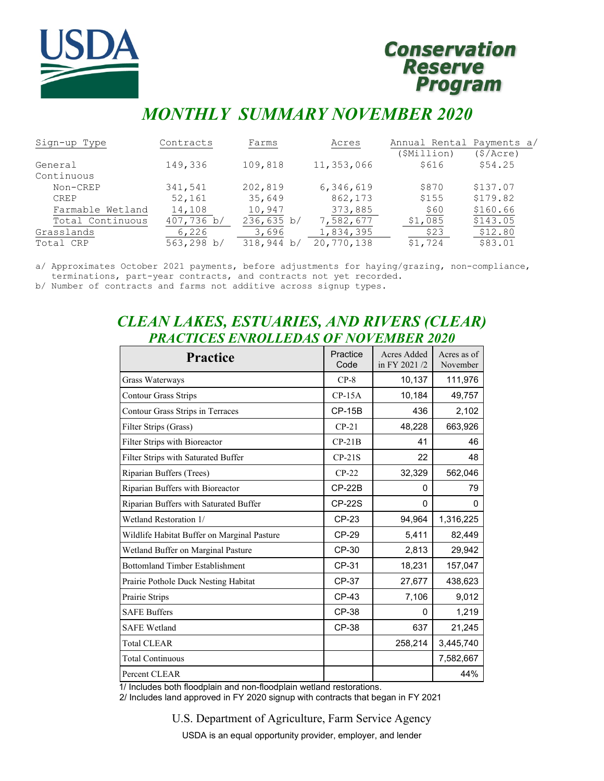

# **Conservation** Reserve<br>Program

# *MONTHLY SUMMARY NOVEMBER 2020*

| Sign-up Type     | Contracts  | Farms      | Acres      | Annual Rental Payments a/ |           |
|------------------|------------|------------|------------|---------------------------|-----------|
|                  |            |            |            | (\$Million)               | (\$/Acre) |
| General          | 149,336    | 109,818    | 11,353,066 | \$616                     | \$54.25   |
| Continuous       |            |            |            |                           |           |
| Non-CREP         | 341,541    | 202,819    | 6,346,619  | \$870                     | \$137.07  |
| <b>CREP</b>      | 52,161     | 35,649     | 862,173    | \$155                     | \$179.82  |
| Farmable Wetland | 14,108     | 10,947     | 373,885    | \$60                      | \$160.66  |
| Total Continuous | 407,736 b/ | 236,635 b/ | 7,582,677  | \$1,085                   | \$143.05  |
| Grasslands       | 6,226      | 3,696      | 1,834,395  | \$23                      | \$12.80   |
| Total CRP        | 563,298 b/ | 318,944 b/ | 20,770,138 | \$1,724                   | \$83.01   |

a/ Approximates October 2021 payments, before adjustments for haying/grazing, non-compliance, terminations, part-year contracts, and contracts not yet recorded.

b/ Number of contracts and farms not additive across signup types.

# *CLEAN LAKES, ESTUARIES, AND RIVERS (CLEAR) PRACTICES ENROLLEDAS OF NOVEMBER 2020*

| <b>Practice</b>                             | Practice<br>Code | Acres Added<br>in FY 2021/2 | Acres as of<br>November |
|---------------------------------------------|------------------|-----------------------------|-------------------------|
| Grass Waterways                             | $CP-8$           | 10,137                      | 111,976                 |
| <b>Contour Grass Strips</b>                 | $CP-15A$         | 10,184                      | 49,757                  |
| Contour Grass Strips in Terraces            | <b>CP-15B</b>    | 436                         | 2,102                   |
| Filter Strips (Grass)                       | $CP-21$          | 48,228                      | 663,926                 |
| Filter Strips with Bioreactor               | $CP-21B$         | 41                          | 46                      |
| Filter Strips with Saturated Buffer         | $CP-21S$         | 22                          | 48                      |
| Riparian Buffers (Trees)                    | $CP-22$          | 32,329                      | 562,046                 |
| Riparian Buffers with Bioreactor            | $CP-22B$         | 0                           | 79                      |
| Riparian Buffers with Saturated Buffer      | <b>CP-22S</b>    | 0                           | 0                       |
| Wetland Restoration 1/                      | CP-23            | 94,964                      | 1,316,225               |
| Wildlife Habitat Buffer on Marginal Pasture | CP-29            | 5,411                       | 82,449                  |
| Wetland Buffer on Marginal Pasture          | CP-30            | 2,813                       | 29,942                  |
| <b>Bottomland Timber Establishment</b>      | CP-31            | 18,231                      | 157,047                 |
| Prairie Pothole Duck Nesting Habitat        | CP-37            | 27,677                      | 438,623                 |
| Prairie Strips                              | CP-43            | 7,106                       | 9,012                   |
| <b>SAFE Buffers</b>                         | CP-38            | 0                           | 1,219                   |
| <b>SAFE Wetland</b>                         | CP-38            | 637                         | 21,245                  |
| <b>Total CLEAR</b>                          |                  | 258,214                     | 3,445,740               |
| <b>Total Continuous</b>                     |                  |                             | 7,582,667               |
| Percent CLEAR                               |                  |                             | 44%                     |

1/ Includes both floodplain and non-floodplain wetland restorations.

2/ Includes land approved in FY 2020 signup with contracts that began in FY 2021

U.S. Department of Agriculture, Farm Service Agency

USDA is an equal opportunity provider, employer, and lender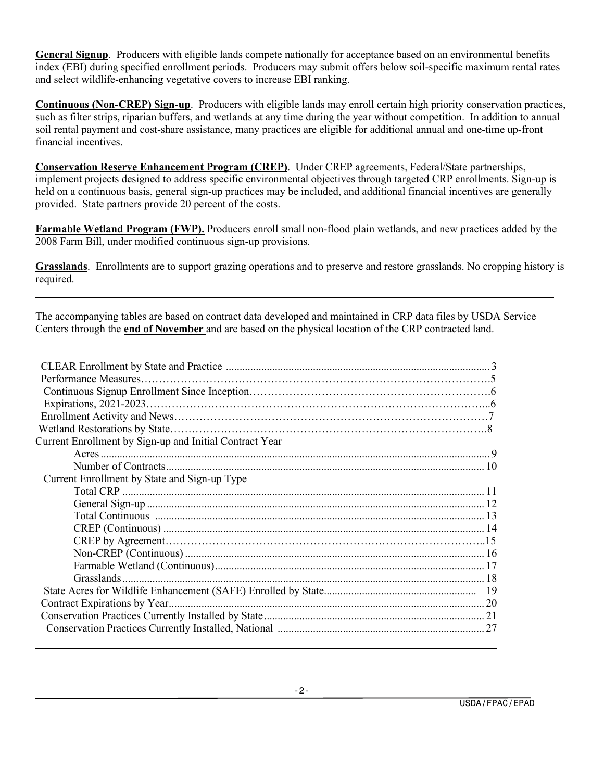**General Signup**. Producers with eligible lands compete nationally for acceptance based on an environmental benefits index (EBI) during specified enrollment periods. Producers may submit offers below soil-specific maximum rental rates and select wildlife-enhancing vegetative covers to increase EBI ranking.

**Continuous (Non-CREP) Sign-up**. Producers with eligible lands may enroll certain high priority conservation practices, such as filter strips, riparian buffers, and wetlands at any time during the year without competition. In addition to annual soil rental payment and cost-share assistance, many practices are eligible for additional annual and one-time up-front financial incentives.

**Conservation Reserve Enhancement Program (CREP)**. Under CREP agreements, Federal/State partnerships, implement projects designed to address specific environmental objectives through targeted CRP enrollments. Sign-up is held on a continuous basis, general sign-up practices may be included, and additional financial incentives are generally provided. State partners provide 20 percent of the costs.

**Farmable Wetland Program (FWP).** Producers enroll small non-flood plain wetlands, and new practices added by the 2008 Farm Bill, under modified continuous sign-up provisions.

**Grasslands**. Enrollments are to support grazing operations and to preserve and restore grasslands. No cropping history is required.

The accompanying tables are based on contract data developed and maintained in CRP data files by USDA Service Centers through the **end of November** and are based on the physical location of the CRP contracted land.

| Current Enrollment by Sign-up and Initial Contract Year |  |
|---------------------------------------------------------|--|
|                                                         |  |
|                                                         |  |
| Current Enrollment by State and Sign-up Type            |  |
|                                                         |  |
|                                                         |  |
|                                                         |  |
|                                                         |  |
|                                                         |  |
|                                                         |  |
|                                                         |  |
|                                                         |  |
|                                                         |  |
|                                                         |  |
|                                                         |  |
|                                                         |  |
|                                                         |  |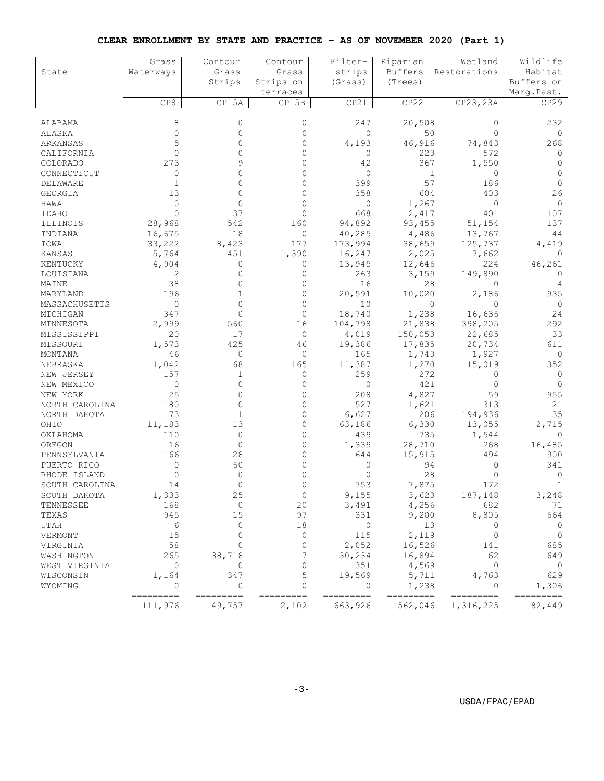#### **CLEAR ENROLLMENT BY STATE AND PRACTICE – AS OF NOVEMBER 2020 (Part 1)**

|                 | Grass                | Contour             | Contour            | Filter-              | Riparian             | Wetland                | Wildlife            |
|-----------------|----------------------|---------------------|--------------------|----------------------|----------------------|------------------------|---------------------|
| State           | Waterways            | Grass               | Grass              | strips               | Buffers              | Restorations           | Habitat             |
|                 |                      | Strips              | Strips on          | (Grass)              | (Trees)              |                        | Buffers on          |
|                 |                      |                     | terraces           |                      |                      |                        | Marq.Past.          |
|                 | CP8                  | CP15A               | CP15B              | CP21                 | CP22                 | CP23, 23A              | CP29                |
|                 |                      |                     |                    |                      |                      |                        |                     |
| ALABAMA         | 8                    | $\mathbf{0}$        | $\mathbf{0}$       | 247                  | 20,508               | $\circ$                | 232                 |
| ALASKA          | 0                    | $\Omega$            | $\mathbf{0}$       | $\mathbf{0}$         |                      | 50<br>$\Omega$         | 0                   |
| ARKANSAS        | 5                    | $\Omega$            | $\Omega$           | 4,193                | 46,916               | 74,843                 | 268                 |
| CALIFORNIA      | $\Omega$             | $\Omega$            | $\Omega$           | 0                    | 223                  | 572                    | 0                   |
| COLORADO        | 273                  | q                   | $\Omega$           | 42                   | 367                  | 1,550                  | $\Omega$            |
| CONNECTICUT     | 0                    | 0                   | $\Omega$           | $\mathbf{0}$         |                      | 1<br>0                 | $\Omega$            |
| <b>DELAWARE</b> | $\mathbf{1}$         | $\Omega$            | $\Omega$           | 399                  | 57                   | 186                    | $\Omega$            |
| GEORGIA         | 13                   | $\Omega$            | $\mathbf{0}$       | 358                  | 604                  | 403                    | 26                  |
| HAWAII          | $\mathbf 0$          | $\Omega$            | $\Omega$           | 0                    | 1,267                | $\circ$                | $\mathbf{0}$        |
| IDAHO           | $\Omega$             | 37                  | $\Omega$           | 668                  | 2,417                | 401                    | 107                 |
| ILLINOIS        | 28,968               | 542                 | 160                | 94,892               | 93,455               | 51,154                 | 137                 |
| INDIANA         | 16,675               | 18                  | 0                  | 40,285               | 4,486                | 13,767                 | 44                  |
| IOWA            | 33,222               | 8,423               | 177                | 173,994              | 38,659               | 125,737                | 4,419               |
| KANSAS          | 5,764                | 451                 | 1,390              | 16,247               | 2,025                | 7,662                  | 0                   |
| KENTUCKY        | 4,904                | 0                   | 0                  | 13,945               | 12,646               | 224                    | 46,261              |
| LOUISIANA       | 2                    | $\Omega$            | 0                  | 263                  | 3,159                | 149,890                | 0                   |
| MAINE           | 38                   | $\Omega$            | $\Omega$           | 16                   | 28                   | $\Omega$               | 4                   |
| MARYLAND        | 196                  | 1                   | $\mathbf{0}$       | 20,591               | 10,020               | 2,186                  | 935                 |
| MASSACHUSETTS   | 0                    | $\Omega$            | $\Omega$           | 10                   |                      | $\mathbf 0$<br>$\circ$ | $\circ$             |
| MICHIGAN        | 347                  | $\Omega$            | $\Omega$           | 18,740               | 1,238                | 16,636                 | 24                  |
| MINNESOTA       | 2,999                | 560                 | 16                 | 104,798              | 21,838               | 398,205                | 292                 |
| MISSISSIPPI     | 20                   | 17                  | $\mathbf{0}$       | 4,019                | 150,053              | 22,685                 | 33                  |
| MISSOURI        | 1,573                | 425                 | 46                 | 19,386               | 17,835               | 20,734                 | 611                 |
| MONTANA         | 46                   | 0                   | $\circ$            | 165                  | 1,743                | 1,927                  | 0                   |
| NEBRASKA        | 1,042                | 68                  | 165                | 11,387               | 1,270                | 15,019                 | 352                 |
| NEW JERSEY      | 157                  | 1                   | 0                  | 259                  | 272                  | 0                      | 0                   |
| NEW MEXICO      | $\mathbf 0$          | $\Omega$            | $\mathbf{0}$       | 0                    | 421                  | $\Omega$               | $\Omega$            |
| NEW YORK        | 25                   | 0                   | $\mathbf{0}$       | 208                  | 4,827                | 59                     | 955                 |
| NORTH CAROLINA  | 180                  | $\Omega$            | $\Omega$           | 527                  | 1,621                | 313                    | 21                  |
| NORTH DAKOTA    | 73                   | 1                   | $\Omega$           | 6,627                | 206                  | 194,936                | 35                  |
| OHIO            | 11,183               | 13                  | $\mathbf{0}$       | 63,186               | 6,330                | 13,055                 | 2,715               |
| OKLAHOMA        | 110                  | $\mathbf{0}$        | $\Omega$           | 439                  | 735                  | 1,544                  | $\Omega$            |
| OREGON          | 16                   | 0                   | $\Omega$           | 1,339                | 28,710               | 268                    | 16,485              |
| PENNSYLVANIA    | 166                  | 28                  | $\mathbf{0}$       | 644                  | 15,915               | 494                    | 900                 |
| PUERTO RICO     | 0                    | 60                  | 0                  | 0                    | 94                   | 0                      | 341                 |
| RHODE ISLAND    | 0                    | $\Omega$            | $\Omega$           | $\Omega$             | 28                   | 0                      | 0                   |
| SOUTH CAROLINA  | 14                   | 0                   | $\Omega$           | 753                  | 7,875                | 172                    | $\mathbf{1}$        |
| SOUTH DAKOTA    | 1,333                | 25                  | $\mathbf 0$        | 9,155                | 3,623                | 187,148                | 3,248               |
| TENNESSEE       | 168                  | 0                   | 20                 | 3,491                | 4,256                | 682                    | 71                  |
| TEXAS           | 945                  | 15                  | 97                 | 331                  | 9,200                | 8,805                  | 664                 |
| UTAH            | 6                    | 0                   | 18                 | 0                    |                      | 13<br>$\circ$          | $\circ$             |
| VERMONT         | 15                   | $\Omega$            | $\circ$            | 115                  | 2,119                | $\circ$                | $\overline{0}$      |
| VIRGINIA        | 58                   | $\Omega$            | $\Omega$           | 2,052                | 16,526               | 141                    | 685                 |
| WASHINGTON      | 265                  | 38,718              | 7                  | 30,234               | 16,894               | 62                     | 649                 |
| WEST VIRGINIA   | $\circ$              | 0                   | $\circ$            | 351                  | 4,569                | $\circ$                | $\overline{0}$      |
| WISCONSIN       | 1,164                | 347                 | 5                  | 19,569               | 5,711                | 4,763                  | 629                 |
| WYOMING         | 0                    | 0                   | $\Omega$           | 0                    | 1,238                | $\Omega$               | 1,306               |
|                 | ---------<br>111,976 | =========<br>49,757 | =========<br>2,102 | =========<br>663,926 | =========<br>562,046 | ---------<br>1,316,225 | =========<br>82,449 |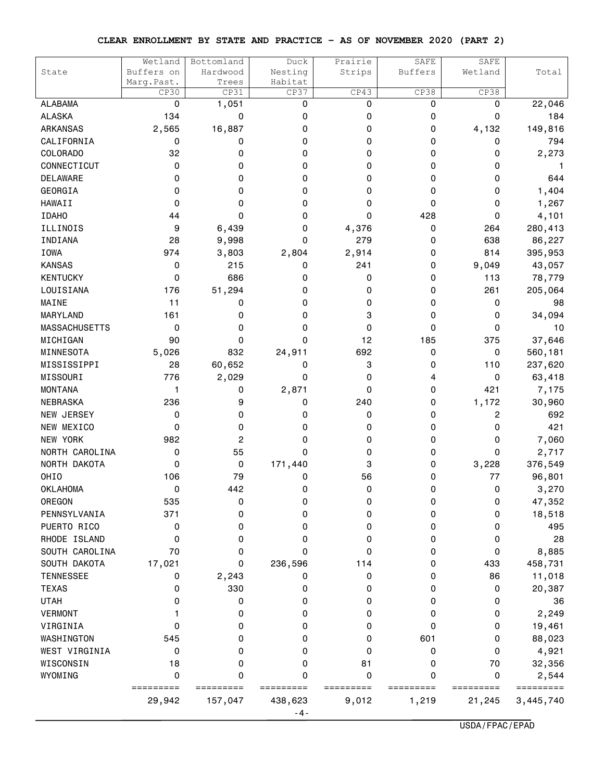#### **CLEAR ENROLLMENT BY STATE AND PRACTICE – AS OF NOVEMBER 2020 (PART 2)**

| State                | Wetland<br>Buffers on | Bottomland<br>Hardwood | Duck<br>Nesting | Prairie<br>Strips | SAFE<br>Buffers | SAFE<br>Wetland | Total         |
|----------------------|-----------------------|------------------------|-----------------|-------------------|-----------------|-----------------|---------------|
|                      | Marg. Past.           | Trees                  | Habitat         |                   |                 |                 |               |
|                      | CP30                  | CP31                   | CP37            | CP43              | CP38            | CP38            |               |
| <b>ALABAMA</b>       | 0                     | 1,051                  | 0               | 0                 | 0               | 0               | 22,046        |
| <b>ALASKA</b>        | 134                   | 0                      | 0               | 0                 | 0               | 0               | 184           |
| <b>ARKANSAS</b>      | 2,565                 | 16,887                 | 0               | 0                 | 0               | 4,132           | 149,816       |
| CALIFORNIA           | 0                     | 0                      | 0               | 0                 | 0               | 0               | 794           |
| <b>COLORADO</b>      | 32                    | 0                      | 0               | 0                 | 0               | 0               | 2,273         |
| CONNECTICUT          | 0                     | 0                      | 0               | 0                 | 0               | 0               | 1             |
| <b>DELAWARE</b>      | 0                     | 0                      | 0               | 0                 | 0               | 0               | 644           |
| GEORGIA              | 0                     | 0                      | 0               | 0                 | 0               | 0               | 1,404         |
| <b>HAWAII</b>        | 0                     | 0                      | 0               | 0                 | 0               | 0               | 1,267         |
| <b>IDAHO</b>         | 44                    | 0                      | 0               | 0                 | 428             | 0               | 4,101         |
| ILLINOIS             | 9                     | 6,439                  | 0               | 4,376             | 0               | 264             | 280,413       |
| INDIANA              | 28                    | 9,998                  | 0               | 279               | 0               | 638             | 86,227        |
| <b>IOWA</b>          | 974                   | 3,803                  | 2,804           | 2,914             | 0               | 814             | 395,953       |
| <b>KANSAS</b>        | 0                     | 215                    | 0               | 241               | 0               | 9,049           | 43,057        |
| <b>KENTUCKY</b>      | 0                     | 686                    | 0               | 0                 | 0               | 113             | 78,779        |
| LOUISIANA            | 176                   | 51,294                 | 0               | 0                 | 0               | 261             | 205,064       |
| MAINE                | 11                    | 0                      | 0               | 0                 | 0               | 0               | 98            |
| MARYLAND             | 161                   | 0                      | 0               | 3                 | 0               | 0               | 34,094        |
| <b>MASSACHUSETTS</b> | 0                     | 0                      | 0               | 0                 | 0               | 0               | 10            |
| MICHIGAN             | 90                    | 0                      | 0               | 12                | 185             | 375             | 37,646        |
| MINNESOTA            | 5,026                 | 832                    | 24,911          | 692               | 0               | 0               | 560,181       |
| MISSISSIPPI          | 28                    | 60,652                 | 0               | 3                 | 0               | 110             | 237,620       |
| MISSOURI             | 776                   | 2,029                  | 0               | 0                 | 4               | 0               | 63,418        |
| <b>MONTANA</b>       | 1                     | 0                      | 2,871           | 0                 | 0               | 421             | 7,175         |
| <b>NEBRASKA</b>      | 236                   | 9                      | 0               | 240               | 0               | 1,172           | 30,960        |
| NEW JERSEY           | 0                     | 0                      | 0               | 0                 | 0               | 2               | 692           |
| NEW MEXICO           | 0                     | 0                      | 0               | 0                 | 0               | 0               | 421           |
| NEW YORK             | 982                   | 2                      | 0               | 0                 | 0               | 0               | 7,060         |
| NORTH CAROLINA       | 0                     | 55                     | 0               | 0                 | 0               | 0               | 2,717         |
| NORTH DAKOTA         | 0                     | 0                      | 171,440         | 3                 | 0               | 3,228           | 376,549       |
| OHIO                 | 106                   | 79                     | 0               | 56                | 0               | 77              | 96,801        |
| <b>OKLAHOMA</b>      | 0                     | 442                    | 0               | 0                 | 0               | 0               | 3,270         |
| OREGON               | 535                   | 0                      | 0               | 0                 | 0               | 0               | 47,352        |
| PENNSYLVANIA         | 371                   | 0                      | 0               | 0                 | 0               | 0               | 18,518        |
| PUERTO RICO          | 0                     | 0                      | 0               | 0                 | 0               | 0               | 495           |
| RHODE ISLAND         | 0                     | 0                      | 0               | 0                 | 0               | 0               | 28            |
| SOUTH CAROLINA       | 70                    | 0                      | 0               | 0                 | 0               | 0               | 8,885         |
| SOUTH DAKOTA         | 17,021                | 0                      | 236,596         | 114               | 0               | 433             | 458,731       |
| <b>TENNESSEE</b>     | 0                     | 2,243                  | 0               | 0                 | 0               | 86              | 11,018        |
| <b>TEXAS</b>         | 0                     | 330                    | 0               | 0                 | 0               | 0               | 20,387        |
| <b>UTAH</b>          | 0                     | 0                      | 0               | 0                 | 0               | 0               | 36            |
| <b>VERMONT</b>       |                       | 0                      | 0               | 0                 | 0               | 0               | 2,249         |
| VIRGINIA             | 0                     | 0                      | 0               | 0                 | 0               | 0               | 19,461        |
| WASHINGTON           | 545                   | 0                      | 0               | 0                 | 601             | 0               | 88,023        |
| WEST VIRGINIA        | 0                     | 0                      | 0               | 0                 | 0               | 0               | 4,921         |
| WISCONSIN            | 18                    | 0                      | 0               | 81                | 0               | 70              | 32,356        |
| WYOMING              | 0                     | 0                      | 0               | 0                 | 0               | 0               | 2,544         |
|                      | =========             | ===                    |                 |                   |                 | ====            | ======<br>=== |
|                      | 29,942                | 157,047                | 438,623         | 9,012             | 1,219           | 21,245          | 3,445,740     |
|                      |                       |                        | $-4-$           |                   |                 |                 |               |

USDA/FPAC/EPAD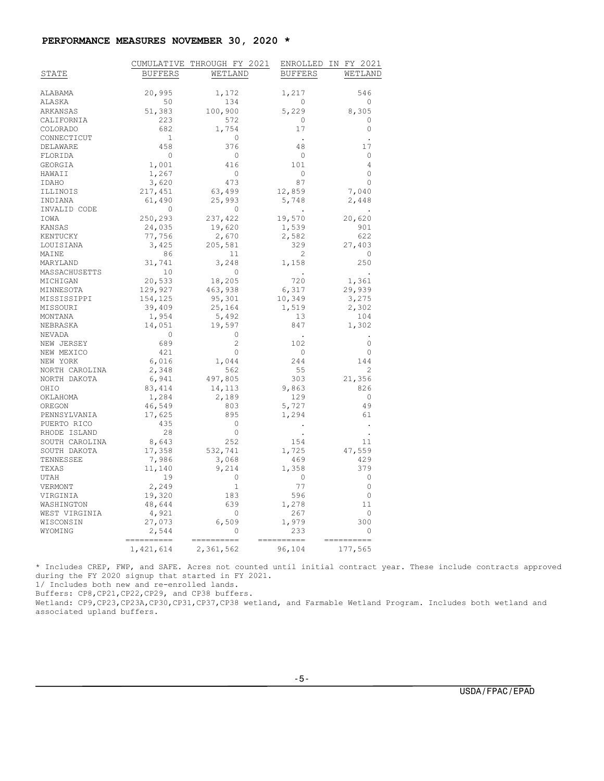#### **PERFORMANCE MEASURES NOVEMBER 30, 2020 \***

|                |                               | CUMULATIVE THROUGH FY 2021 | ENROLLED             | IN FY 2021           |
|----------------|-------------------------------|----------------------------|----------------------|----------------------|
| STATE          | <b>BUFFERS</b>                | WETLAND                    | <b>BUFFERS</b>       | WETLAND              |
|                |                               |                            |                      |                      |
| ALABAMA        | 20,995                        | 1,172                      | 1,217                | 546                  |
| ALASKA         | 50                            | 134                        | 0                    | $\circ$              |
| ARKANSAS       | 51,383                        | 100,900                    | 5,229                | 8,305                |
| CALIFORNIA     | 223                           | 572                        | 0                    | 0                    |
| COLORADO       | 682                           | 1,754                      | 17                   | $\circ$              |
| CONNECTICUT    | - 1                           | 0                          |                      |                      |
| DELAWARE       | 458                           | 376                        | 48                   | 17                   |
| FLORIDA        | $\overline{0}$                | $\overline{0}$             | 0                    | 0                    |
| GEORGIA        | 1,001                         | 416                        | 101                  | $\overline{4}$       |
| HAWAII         | 1,267                         | 0                          | 0                    | $\Omega$             |
| IDAHO          | 3,620                         | 473                        | 87                   | $\mathbf 0$          |
| ILLINOIS       | 217,451                       | 63,499                     | 12,859               | 7,040                |
| INDIANA        | 61,490                        | 25,993                     | 5,748                | 2,448                |
| INVALID CODE   | $\mathbf{0}$                  | $\circ$                    |                      |                      |
| IOWA           | 250,293                       | 237,422                    | 19,570               | 20,620               |
| KANSAS         | 24,035                        | 19,620                     | 1,539                | 901                  |
| KENTUCKY       | 77,756                        | 2,670                      | 2,582                | 622                  |
| LOUISIANA      | 3,425                         | 205,581                    | 329                  | 27,403               |
| MAINE          | 86                            | 11                         | 2                    | $\circ$              |
| MARYLAND       | 31,741                        | 3,248                      | 1,158                | 250                  |
| MASSACHUSETTS  | 10                            | 0                          | $\ddot{\phantom{a}}$ | $\ddot{\phantom{a}}$ |
| MICHIGAN       | 20,533                        | 18,205                     | 720                  | 1,361                |
| MINNESOTA      | 129,927                       | 463,938                    | 6,317                | 29,939               |
| MISSISSIPPI    | 154,125                       | 95,301                     | 10,349               | 3,275                |
| MISSOURI       | 39,409                        | 25,164                     | 1,519                | 2,302                |
| MONTANA        | 1,954                         | 5,492                      | 13                   | 104                  |
| NEBRASKA       | 14,051                        | 19,597                     | 847                  | 1,302                |
| NEVADA         | $\overline{0}$                | $\circ$                    |                      |                      |
| NEW JERSEY     | 689                           | $\overline{2}$             | 102                  | 0                    |
| NEW MEXICO     | 421                           | $\circ$                    | $\circ$              | $\mathbf 0$          |
| NEW YORK       | 6,016                         | 1,044                      | 244                  | 144                  |
| NORTH CAROLINA | 2,348                         | 562                        | 55                   | $\overline{c}$       |
| NORTH DAKOTA   | 6,941                         | 497,805                    | 303                  | 21,356               |
| OHIO           | 83, 414                       | 14,113                     | 9,863                | 826                  |
| OKLAHOMA       | 1,284                         | 2,189                      | 129                  | $\circ$              |
| OREGON         | 46,549                        | 803                        | 5,727                | 49                   |
| PENNSYLVANIA   | 17,625                        | 895                        | 1,294                | 61                   |
| PUERTO RICO    | 435                           | $\circ$                    |                      |                      |
| RHODE ISLAND   | 28                            | $\circ$                    |                      | $\cdot$              |
| SOUTH CAROLINA | 8,643                         | 252                        | 154                  | 11                   |
| SOUTH DAKOTA   | 17,358                        | 532,741                    | 1,725                | 47,559               |
| TENNESSEE      | 7,986                         | 3,068                      | 469                  | 429                  |
| TEXAS          | 11,140                        | 9,214                      | 1,358                | 379                  |
| UTAH           | 19                            | 0                          | 0                    | 0                    |
| VERMONT        | 2,249                         | 1                          | 77                   | $\circ$              |
| VIRGINIA       | 19,320                        | 183                        | 596                  | $\circ$              |
| WASHINGTON     | 48,644                        | 639                        | 1,278                | 11                   |
| WEST VIRGINIA  | 4,921                         | $\overline{\phantom{0}}$   | 267                  | 0                    |
| WISCONSIN      | 27,073                        | 6,509                      | 1,979                | 300                  |
| WYOMING        | 2,544                         | $\Omega$                   | 233                  | $\Omega$             |
|                | <b>CONSECTED</b><br>1,421,614 | 2,361,562                  | ======<br>96,104     | 177,565              |

\* Includes CREP, FWP, and SAFE. Acres not counted until initial contract year. These include contracts approved during the FY 2020 signup that started in FY 2021.

1/ Includes both new and re-enrolled lands.

Buffers: CP8,CP21,CP22,CP29, and CP38 buffers.

Wetland: CP9,CP23,CP23A,CP30,CP31,CP37,CP38 wetland, and Farmable Wetland Program. Includes both wetland and associated upland buffers.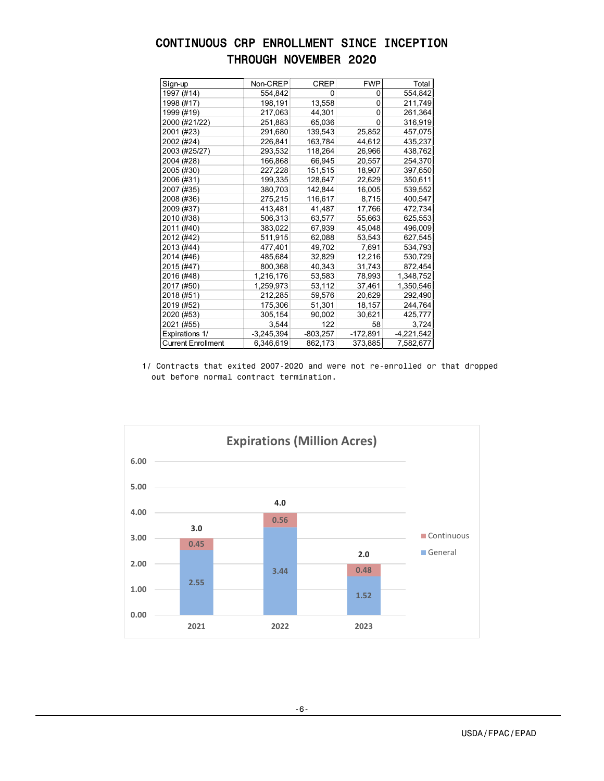# CONTINUOUS CRP ENROLLMENT SINCE INCEPTION THROUGH NOVEMBER 2020

| Sign-up                   | Non-CREP     | CREP       | <b>FWP</b> | Total        |
|---------------------------|--------------|------------|------------|--------------|
| 1997 (#14)                | 554,842      | 0          | 0          | 554,842      |
| 1998 (#17)                | 198,191      | 13,558     | 0          | 211,749      |
| 1999 (#19)                | 217,063      | 44,301     | 0          | 261,364      |
| 2000 (#21/22)             | 251,883      | 65,036     | 0          | 316,919      |
| 2001 (#23)                | 291,680      | 139,543    | 25,852     | 457,075      |
| 2002 (#24)                | 226,841      | 163,784    | 44,612     | 435,237      |
| 2003 (#25/27)             | 293,532      | 118,264    | 26,966     | 438,762      |
| 2004 (#28)                | 166,868      | 66,945     | 20,557     | 254,370      |
| 2005 (#30)                | 227,228      | 151,515    | 18,907     | 397,650      |
| 2006 (#31)                | 199,335      | 128,647    | 22,629     | 350,611      |
| 2007 (#35)                | 380,703      | 142,844    | 16,005     | 539,552      |
| 2008 (#36)                | 275,215      | 116,617    | 8,715      | 400,547      |
| 2009 (#37)                | 413,481      | 41,487     | 17,766     | 472,734      |
| 2010 (#38)                | 506,313      | 63,577     | 55,663     | 625,553      |
| 2011 (#40)                | 383,022      | 67,939     | 45,048     | 496,009      |
| 2012 (#42)                | 511,915      | 62,088     | 53,543     | 627,545      |
| 2013 (#44)                | 477,401      | 49,702     | 7,691      | 534,793      |
| 2014 (#46)                | 485,684      | 32,829     | 12,216     | 530,729      |
| 2015 (#47)                | 800,368      | 40,343     | 31,743     | 872,454      |
| 2016 (#48)                | 1,216,176    | 53,583     | 78,993     | 1,348,752    |
| 2017 (#50)                | 1,259,973    | 53,112     | 37,461     | 1,350,546    |
| 2018 (#51)                | 212,285      | 59,576     | 20,629     | 292,490      |
| 2019 (#52)                | 175,306      | 51,301     | 18,157     | 244,764      |
| 2020 (#53)                | 305,154      | 90,002     | 30,621     | 425,777      |
| 2021 (#55)                | 3,544        | 122        | 58         | 3,724        |
| Expirations 1/            | $-3,245,394$ | $-803,257$ | $-172,891$ | $-4,221,542$ |
| <b>Current Enrollment</b> | 6,346,619    | 862,173    | 373,885    | 7,582,677    |

1/ Contracts that exited 2007-2020 and were not re-enrolled or that dropped out before normal contract termination.

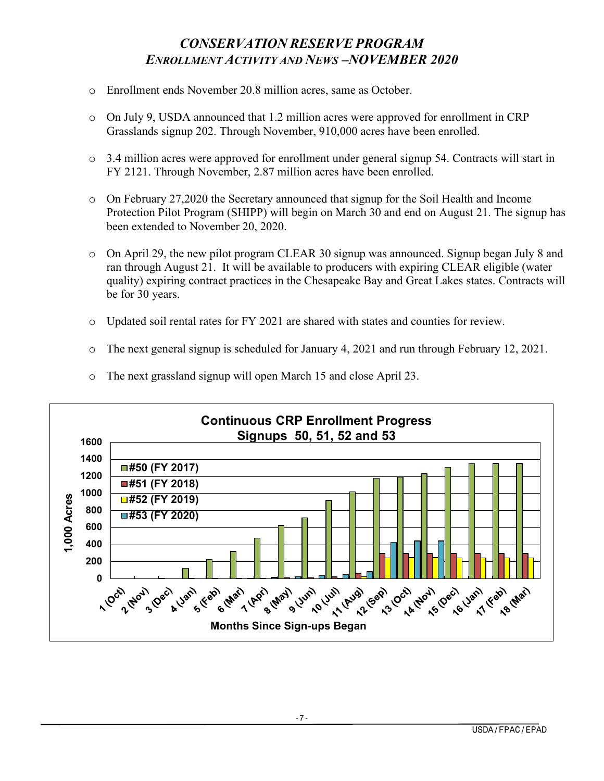# *CONSERVATION RESERVE PROGRAM ENROLLMENT ACTIVITY AND NEWS –NOVEMBER 2020*

- o Enrollment ends November 20.8 million acres, same as October.
- $\circ$  On July 9, USDA announced that 1.2 million acres were approved for enrollment in CRP Grasslands signup 202. Through November, 910,000 acres have been enrolled.
- o 3.4 million acres were approved for enrollment under general signup 54. Contracts will start in FY 2121. Through November, 2.87 million acres have been enrolled.
- o On February 27,2020 the Secretary announced that signup for the Soil Health and Income Protection Pilot Program (SHIPP) will begin on March 30 and end on August 21. The signup has been extended to November 20, 2020.
- o On April 29, the new pilot program CLEAR 30 signup was announced. Signup began July 8 and ran through August 21. It will be available to producers with expiring CLEAR eligible (water quality) expiring contract practices in the Chesapeake Bay and Great Lakes states. Contracts will be for 30 years.
- o Updated soil rental rates for FY 2021 are shared with states and counties for review.
- o The next general signup is scheduled for January 4, 2021 and run through February 12, 2021.



o The next grassland signup will open March 15 and close April 23.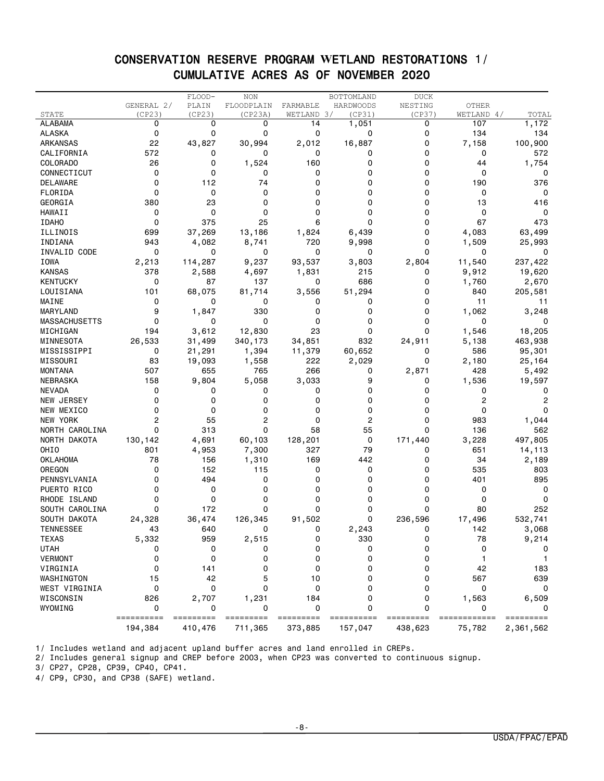### CONSERVATION RESERVE PROGRAM **W**ETLAND RESTORATIONS 1/ CUMULATIVE ACRES AS OF NOVEMBER 2020

|                      |                 | FLOOD-  | <b>NON</b> |            | BOTTOMLAND | <b>DUCK</b> |            |                |
|----------------------|-----------------|---------|------------|------------|------------|-------------|------------|----------------|
|                      | GENERAL 2/      | PLAIN   | FLOODPLAIN | FARMABLE   | HARDWOODS  | NESTING     | OTHER      |                |
| STATE                | (CP23)          | (CP23)  | (CP23A)    | WETLAND 3/ | (CP31)     | (CP37)      | WETLAND 4/ | TOTAL          |
| <b>ALABAMA</b>       | 0               | 0       | 0          | 14         | 1,051      | 0           | 107        | 1,172          |
| <b>ALASKA</b>        | 0               | 0       | 0          | 0          | 0          | 0           | 134        | 134            |
| ARKANSAS             | 22              | 43,827  | 30,994     | 2,012      | 16,887     | 0           | 7,158      | 100,900        |
| CALIFORNIA           | 572             | 0       | 0          | 0          | 0          | 0           | 0          | 572            |
| COLORADO             | 26              | 0       | 1,524      | 160        | 0          | 0           | 44         | 1,754          |
| CONNECTICUT          | 0               | 0       | 0          | 0          | 0          | 0           | 0          | 0              |
| DELAWARE             | 0               | 112     | 74         | $\Omega$   | 0          | 0           | 190        | 376            |
| FLORIDA              | 0               | 0       | 0          | 0          | 0          | 0           | 0          | 0              |
| GEORGIA              | 380             | 23      | 0          | 0          | 0          | 0           | 13         | 416            |
| HAWAII               | 0               | 0       | 0          | 0          | 0          | 0           | 0          | 0              |
| <b>IDAHO</b>         | 0               | 375     | 25         | 6          | 0          | 0           | 67         | 473            |
| ILLINOIS             | 699             | 37,269  | 13,186     | 1,824      | 6,439      | 0           | 4,083      | 63,499         |
| INDIANA              | 943             | 4,082   | 8,741      | 720        | 9,998      | 0           | 1,509      | 25,993         |
| INVALID CODE         | 0               | 0       | 0          | 0          | 0          | 0           | 0          | 0              |
| IOWA                 | 2,213           | 114,287 | 9,237      | 93,537     | 3,803      | 2,804       | 11,540     | 237,422        |
| <b>KANSAS</b>        | 378             | 2,588   | 4,697      | 1,831      | 215        | 0           | 9,912      | 19,620         |
| <b>KENTUCKY</b>      | 0               | 87      | 137        | 0          | 686        | 0           | 1,760      | 2,670          |
|                      | 101             | 68,075  |            |            |            | 0           | 840        |                |
| LOUISIANA            |                 |         | 81,714     | 3,556      | 51,294     |             |            | 205,581        |
| MAINE                | 0               | 0       | 0          | 0          | 0          | 0           | 11         | 11             |
| MARYLAND             | 9               | 1,847   | 330        | 0          | 0          | 0           | 1,062      | 3,248          |
| <b>MASSACHUSETTS</b> | 0               | 0       | 0          | 0          | 0          | 0           | 0          | 0              |
| MICHIGAN             | 194             | 3,612   | 12,830     | 23         | 0          | 0           | 1,546      | 18,205         |
| MINNESOTA            | 26,533          | 31,499  | 340, 173   | 34,851     | 832        | 24,911      | 5,138      | 463,938        |
| MISSISSIPPI          | 0               | 21,291  | 1,394      | 11,379     | 60,652     | 0           | 586        | 95,301         |
| MISSOURI             | 83              | 19,093  | 1,558      | 222        | 2,029      | 0           | 2,180      | 25,164         |
| <b>MONTANA</b>       | 507             | 655     | 765        | 266        | 0          | 2,871       | 428        | 5,492          |
| <b>NEBRASKA</b>      | 158             | 9,804   | 5,058      | 3,033      | 9          | 0           | 1,536      | 19,597         |
| <b>NEVADA</b>        | 0               | 0       | 0          | 0          | 0          | 0           | 0          | 0              |
| NEW JERSEY           | 0               | 0       | 0          | $\Omega$   | 0          | 0           | 2          | $\overline{2}$ |
| NEW MEXICO           | 0               | 0       | 0          | 0          | 0          | 0           | 0          | 0              |
| NEW YORK             | 2               | 55      | 2          | 0          | 2          | 0           | 983        | 1,044          |
| NORTH CAROLINA       | 0               | 313     | 0          | 58         | 55         | 0           | 136        | 562            |
| NORTH DAKOTA         | 130,142         | 4,691   | 60,103     | 128,201    | 0          | 171,440     | 3,228      | 497,805        |
| OHIO                 | 801             | 4,953   | 7,300      | 327        | 79         | 0           | 651        | 14,113         |
| <b>OKLAHOMA</b>      | 78              | 156     | 1,310      | 169        | 442        | 0           | 34         | 2,189          |
| OREGON               | 0               | 152     | 115        | 0          | 0          | 0           | 535        | 803            |
| PENNSYLVANIA         | 0               | 494     | 0          | 0          | 0          | 0           | 401        | 895            |
| PUERTO RICO          | 0               | 0       | 0          | 0          | 0          | 0           | 0          | 0              |
| RHODE ISLAND         | 0               | 0       | 0          | 0          | 0          | 0           | 0          | 0              |
| SOUTH CAROLINA       | 0               | 172     | 0          | 0          | 0          | 0           | 80         | 252            |
| SOUTH DAKOTA         | 24,328          | 36,474  | 126,345    | 91,502     | 0          | 236,596     | 17,496     | 532,741        |
| <b>TENNESSEE</b>     | 43              | 640     | 0          | 0          | 2,243      | 0           | 142        | 3,068          |
| <b>TEXAS</b>         | 5,332           | 959     | 2,515      | 0          | 330        | 0           | 78         | 9,214          |
| <b>UTAH</b>          | 0               | 0       | 0          | $\Omega$   | 0          | $\Omega$    | $\Omega$   |                |
| <b>VERMONT</b>       | 0               | 0       |            | 0          | 0          | 0           |            |                |
|                      |                 |         | 0          |            |            |             |            |                |
| VIRGINIA             | 0               | 141     | 0          | 0          | 0          | 0           | 42         | 183            |
| WASHINGTON           | 15              | 42      | 5          | 10         | 0          | $\Omega$    | 567        | 639            |
| WEST VIRGINIA        | 0               | 0       | 0          | 0          | 0          | 0           | 0          | 0              |
| WISCONSIN            | 826             | 2,707   | 1,231      | 184        | 0          | 0           | 1,563      | 6,509          |
| WYOMING              | 0<br>========== | 0       | 0          | 0          | 0          | $\Omega$    | 0          | $\Omega$       |
|                      | 194,384         | 410,476 | 711,365    | 373,885    | 157,047    | 438,623     | 75,782     | 2,361,562      |

1/ Includes wetland and adjacent upland buffer acres and land enrolled in CREPs.

2/ Includes general signup and CREP before 2003, when CP23 was converted to continuous signup.

3/ CP27, CP28, CP39, CP40, CP41.

4/ CP9, CP30, and CP38 (SAFE) wetland.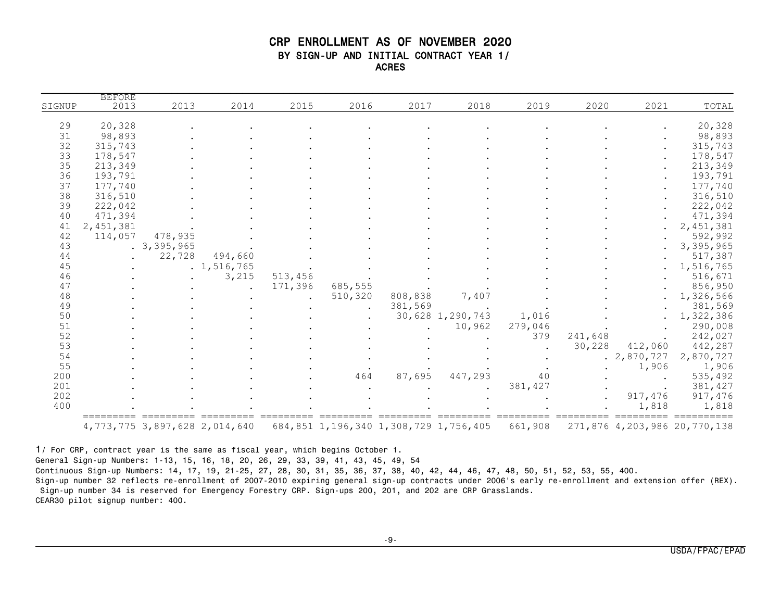#### CRP ENROLLMENT AS OF NOVEMBER 2020 BY SIGN-UP AND INITIAL CONTRACT YEAR 1/ ACRES

| TOTAL       | 2021      | 2020    | 2019    | 2018             | 2017    | 2016    | 2015                 | 2014          | 2013       | <b>BEFORE</b><br>2013 | SIGNUP |
|-------------|-----------|---------|---------|------------------|---------|---------|----------------------|---------------|------------|-----------------------|--------|
|             |           |         |         |                  |         |         |                      |               |            |                       |        |
| 20,328      |           |         |         |                  |         |         |                      |               |            | 20,328                | 29     |
| 98,893      |           |         |         |                  |         |         |                      |               |            | 98,893                | 31     |
| 315,743     |           |         |         |                  |         |         |                      |               |            | 315,743               | 32     |
| 178,547     |           |         |         |                  |         |         |                      |               |            | 178,547               | 33     |
| 213,349     |           |         |         |                  |         |         |                      |               |            | 213,349               | 35     |
| 193,791     |           |         |         |                  |         |         |                      |               |            | 193,791               | 36     |
| 177,740     |           |         |         |                  |         |         |                      |               |            | 177,740               | 37     |
| 316,510     |           |         |         |                  |         |         |                      |               |            | 316,510               | 38     |
| 222,042     |           |         |         |                  |         |         |                      |               |            | 222,042               | 39     |
| 471,394     |           |         |         |                  |         |         |                      |               |            | 471,394               | 40     |
| 2, 451, 381 |           |         |         |                  |         |         |                      |               |            | 2,451,381             | 41     |
| 592,992     |           |         |         |                  |         |         |                      |               | 478,935    | 114,057               | 42     |
| 3,395,965   |           |         |         |                  |         |         |                      |               | .3,395,965 |                       | 43     |
| 517,387     |           |         |         |                  |         |         |                      | 494,660       | 22,728     |                       | 44     |
| 1,516,765   |           |         |         |                  |         |         |                      | . 1, 516, 765 |            |                       | 45     |
| 516,671     |           |         |         |                  |         |         | 513,456              | 3,215         |            |                       | 46     |
| 856,950     |           |         |         |                  |         | 685,555 | 171,396              |               |            |                       | 47     |
| 1,326,566   |           |         |         | 7,407            | 808,838 | 510,320 | $\ddot{\phantom{a}}$ |               |            |                       | 48     |
| 381,569     |           |         |         |                  | 381,569 |         |                      |               |            |                       | 49     |
| 1,322,386   |           |         | 1,016   | 30,628 1,290,743 |         |         |                      |               |            |                       | 50     |
| 290,008     |           |         | 279,046 | 10,962           |         |         |                      |               |            |                       | 51     |
| 242,027     |           | 241,648 | 379     |                  |         |         |                      |               |            |                       | 52     |
| 442,287     | 412,060   | 30,228  |         |                  |         |         |                      |               |            |                       | 53     |
| 2,870,727   | 2,870,727 |         |         |                  |         |         |                      |               |            |                       | 54     |
| 1,906       | 1,906     |         |         |                  |         |         |                      |               |            |                       | 55     |
|             |           |         | 40      |                  |         |         |                      |               |            |                       |        |
| 535,492     |           |         |         | 447,293          | 87,695  | 464     |                      |               |            |                       | 200    |
| 381,427     |           |         | 381,427 |                  |         |         |                      |               |            |                       | 201    |
| 917,476     | 917,476   |         |         |                  |         |         |                      |               |            |                       | 202    |
| 1,818       | 1,818     |         |         |                  |         |         |                      |               |            |                       | 400    |

1/ For CRP, contract year is the same as fiscal year, which begins October 1. General Sign-up Numbers: 1-13, 15, 16, 18, 20, 26, 29, 33, 39, 41, 43, 45, 49, 54 Continuous Sign-up Numbers: 14, 17, 19, 21-25, 27, 28, 30, 31, 35, 36, 37, 38, 40, 42, 44, 46, 47, 48, 50, 51, 52, 53, 55, 400. Sign-up number 32 reflects re-enrollment of 2007-2010 expiring general sign-up contracts under 2006's early re-enrollment and extension offer (REX). Sign-up number 34 is reserved for Emergency Forestry CRP. Sign-ups 200, 201, and 202 are CRP Grasslands. CEAR30 pilot signup number: 400.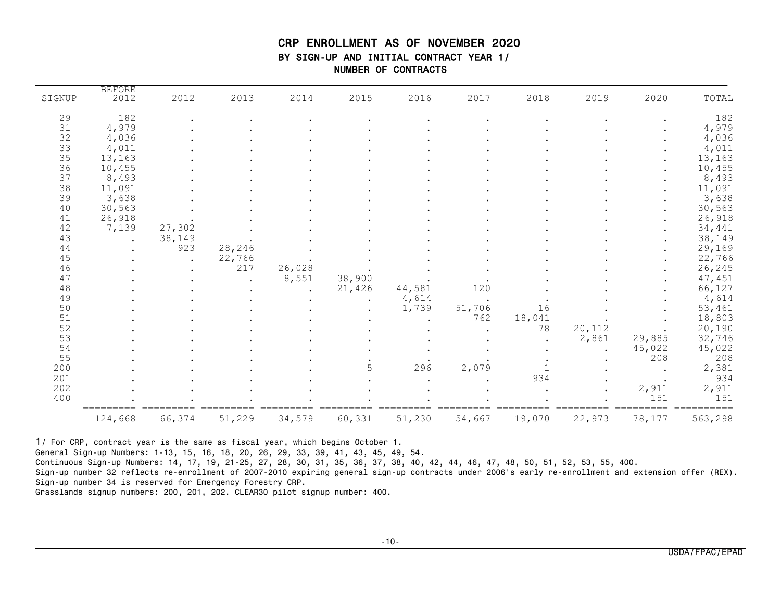### CRP ENROLLMENT AS OF NOVEMBER 2020 BY SIGN-UP AND INITIAL CONTRACT YEAR 1/ NUMBER OF CONTRACTS

|        | <b>BEFORE</b> |        |        |        |              |        |           |        |        |        |         |
|--------|---------------|--------|--------|--------|--------------|--------|-----------|--------|--------|--------|---------|
| SIGNUP | 2012          | 2012   | 2013   | 2014   | 2015         | 2016   | 2017      | 2018   | 2019   | 2020   | TOTAL   |
| 29     | 182           |        |        |        |              |        |           |        |        |        | 182     |
| 31     | 4,979         |        |        |        |              |        |           |        |        |        | 4,979   |
| 32     | 4,036         |        |        |        |              |        |           |        |        |        | 4,036   |
| 33     | 4,011         |        |        |        |              |        |           |        |        |        | 4,011   |
| 35     | 13,163        |        |        |        |              |        |           |        |        |        | 13,163  |
| 36     | 10,455        |        |        |        |              |        |           |        |        |        | 10,455  |
| 37     | 8,493         |        |        |        |              |        |           |        |        |        | 8,493   |
| 38     | 11,091        |        |        |        |              |        |           |        |        |        | 11,091  |
| 39     | 3,638         |        |        |        |              |        |           |        |        |        | 3,638   |
| 40     | 30,563        |        |        |        |              |        |           |        |        |        | 30,563  |
| 41     | 26,918        |        |        |        |              |        |           |        |        |        | 26,918  |
| 42     | 7,139         | 27,302 |        |        |              |        |           |        |        |        | 34,441  |
| 43     |               | 38,149 |        |        |              |        |           |        |        |        | 38,149  |
| 44     |               | 923    | 28,246 |        |              |        |           |        |        |        | 29,169  |
| 45     |               |        | 22,766 |        |              |        |           |        |        |        | 22,766  |
| 46     |               |        | 217    | 26,028 |              |        |           |        |        |        | 26,245  |
| 47     |               |        |        | 8,551  | 38,900       |        |           |        |        |        | 47,451  |
| 48     |               |        |        |        | 21,426       | 44,581 | 120       |        |        |        | 66,127  |
| 49     |               |        |        |        | $\mathbf{r}$ | 4,614  | $\bullet$ |        |        |        | 4,614   |
| 50     |               |        |        |        |              | 1,739  | 51,706    | 16     |        |        | 53,461  |
| 51     |               |        |        |        |              |        | 762       | 18,041 |        |        | 18,803  |
| 52     |               |        |        |        |              |        |           | 78     | 20,112 |        | 20,190  |
| 53     |               |        |        |        |              |        |           |        | 2,861  | 29,885 | 32,746  |
| 54     |               |        |        |        |              |        |           |        |        | 45,022 | 45,022  |
| 55     |               |        |        |        |              |        |           |        |        | 208    | 208     |
| 200    |               |        |        |        | 5            | 296    | 2,079     |        |        |        | 2,381   |
| 201    |               |        |        |        |              |        |           | 934    |        |        | 934     |
| 202    |               |        |        |        |              |        |           |        |        | 2,911  | 2,911   |
| 400    |               |        |        |        |              |        |           |        |        | 151    | 151     |
|        | 124,668       | 66,374 | 51,229 | 34,579 | 60,331       | 51,230 | 54,667    | 19,070 | 22,973 | 78,177 | 563,298 |

1/ For CRP, contract year is the same as fiscal year, which begins October 1.

General Sign-up Numbers: 1-13, 15, 16, 18, 20, 26, 29, 33, 39, 41, 43, 45, 49, 54.

Continuous Sign-up Numbers: 14, 17, 19, 21-25, 27, 28, 30, 31, 35, 36, 37, 38, 40, 42, 44, 46, 47, 48, 50, 51, 52, 53, 55, 400.

Sign-up number 32 reflects re-enrollment of 2007-2010 expiring general sign-up contracts under 2006's early re-enrollment and extension offer (REX). Sign-up number 34 is reserved for Emergency Forestry CRP.

Grasslands signup numbers: 200, 201, 202. CLEAR30 pilot signup number: 400.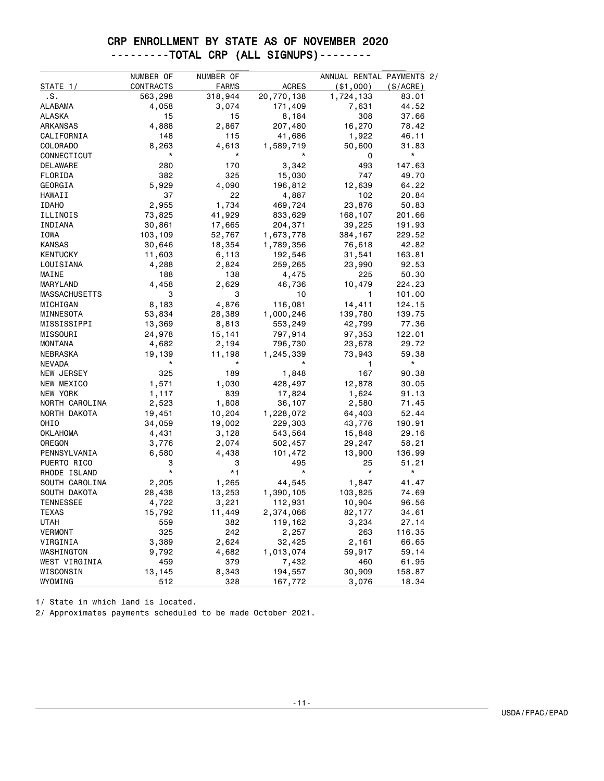### CRP ENROLLMENT BY STATE AS OF NOVEMBER 2020 ---------TOTAL CRP (ALL SIGNUPS)--------

|                      | NUMBER OF | NUMBER OF    |              | ANNUAL RENTAL PAYMENTS 2/ |          |
|----------------------|-----------|--------------|--------------|---------------------------|----------|
| STATE 1/             | CONTRACTS | <b>FARMS</b> | <b>ACRES</b> | ( \$1,000)                | (S/ACRE) |
| .s.                  | 563,298   | 318,944      | 20,770,138   | 1,724,133                 | 83.01    |
| ALABAMA              | 4,058     | 3,074        | 171,409      | 7,631                     | 44.52    |
| ALASKA               | 15        | 15           | 8,184        | 308                       | 37.66    |
| ARKANSAS             | 4,888     | 2,867        | 207,480      | 16,270                    | 78.42    |
| CALIFORNIA           | 148       | 115          | 41,686       | 1,922                     | 46.11    |
| COLORADO             | 8,263     | 4,613        | 1,589,719    | 50,600                    | 31.83    |
| CONNECTICUT          | *         | *            |              | 0                         | $^\star$ |
| DELAWARE             | 280       | 170          | 3,342        | 493                       | 147.63   |
| FLORIDA              | 382       | 325          | 15,030       | 747                       | 49.70    |
| GEORGIA              | 5,929     | 4,090        | 196,812      | 12,639                    | 64.22    |
| HAWAII               | 37        | 22           | 4,887        | 102                       | 20.84    |
| <b>IDAHO</b>         | 2,955     | 1,734        | 469,724      | 23,876                    | 50.83    |
| ILLINOIS             | 73,825    | 41,929       | 833,629      | 168,107                   | 201.66   |
| INDIANA              | 30,861    | 17,665       | 204,371      | 39,225                    | 191.93   |
| IOWA                 | 103,109   | 52,767       | 1,673,778    | 384,167                   | 229.52   |
| <b>KANSAS</b>        | 30,646    | 18,354       | 1,789,356    | 76,618                    | 42.82    |
| <b>KENTUCKY</b>      | 11,603    | 6,113        | 192,546      | 31,541                    | 163.81   |
| LOUISIANA            | 4,288     | 2,824        | 259,265      | 23,990                    | 92.53    |
| MAINE                | 188       | 138          | 4,475        | 225                       | 50.30    |
| MARYLAND             | 4,458     | 2,629        | 46,736       | 10,479                    | 224.23   |
| <b>MASSACHUSETTS</b> | 3         | 3            | 10           | 1                         | 101.00   |
| MICHIGAN             | 8,183     | 4,876        | 116,081      | 14,411                    | 124.15   |
| MINNESOTA            | 53,834    | 28,389       | 1,000,246    | 139,780                   | 139.75   |
| MISSISSIPPI          | 13,369    | 8,813        | 553,249      | 42,799                    | 77.36    |
| MISSOURI             | 24,978    | 15,141       | 797,914      | 97,353                    | 122.01   |
| <b>MONTANA</b>       | 4,682     | 2,194        | 796,730      | 23,678                    | 29.72    |
| NEBRASKA             | 19,139    | 11,198       | 1,245,339    | 73,943                    | 59.38    |
| <b>NEVADA</b>        | *         |              |              | 1                         | $\star$  |
| NEW JERSEY           | 325       | 189          | 1,848        | 167                       | 90.38    |
| NEW MEXICO           | 1,571     | 1,030        | 428,497      | 12,878                    | 30.05    |
| NEW YORK             | 1,117     | 839          | 17,824       | 1,624                     | 91.13    |
| NORTH CAROLINA       | 2,523     | 1,808        | 36,107       | 2,580                     | 71.45    |
| NORTH DAKOTA         | 19,451    | 10,204       | 1,228,072    | 64,403                    | 52.44    |
| OHIO                 | 34,059    | 19,002       | 229,303      | 43,776                    | 190.91   |
| <b>OKLAHOMA</b>      | 4,431     | 3,128        | 543,564      | 15,848                    | 29.16    |
| OREGON               | 3,776     | 2,074        | 502,457      | 29,247                    | 58.21    |
| PENNSYLVANIA         | 6,580     | 4,438        | 101,472      | 13,900                    | 136.99   |
| PUERTO RICO          | З         | 3            | 495          | 25                        | 51.21    |
| RHODE ISLAND         | $\star$   | $*1$         | $^\star$     | $\star$                   | $\star$  |
| SOUTH CAROLINA       | 2,205     | 1,265        | 44,545       | 1,847                     | 41.47    |
| SOUTH DAKOTA         | 28,438    | 13,253       | 1,390,105    | 103,825                   | 74.69    |
| TENNESSEE            | 4,722     | 3,221        | 112,931      | 10,904                    | 96.56    |
| <b>TEXAS</b>         | 15,792    | 11,449       | 2,374,066    | 82,177                    | 34.61    |
| UTAH                 | 559       | 382          | 119,162      | 3,234                     | 27.14    |
| <b>VERMONT</b>       | 325       | 242          | 2,257        | 263                       | 116.35   |
| VIRGINIA             | 3,389     | 2,624        | 32,425       | 2,161                     | 66.65    |
| WASHINGTON           | 9,792     | 4,682        | 1,013,074    | 59,917                    | 59.14    |
| WEST VIRGINIA        | 459       | 379          | 7,432        | 460                       | 61.95    |
| WISCONSIN            | 13,145    | 8,343        | 194,557      | 30,909                    | 158.87   |
| WYOMING              | 512       | 328          | 167,772      | 3,076                     | 18.34    |

1/ State in which land is located.

2/ Approximates payments scheduled to be made October 2021.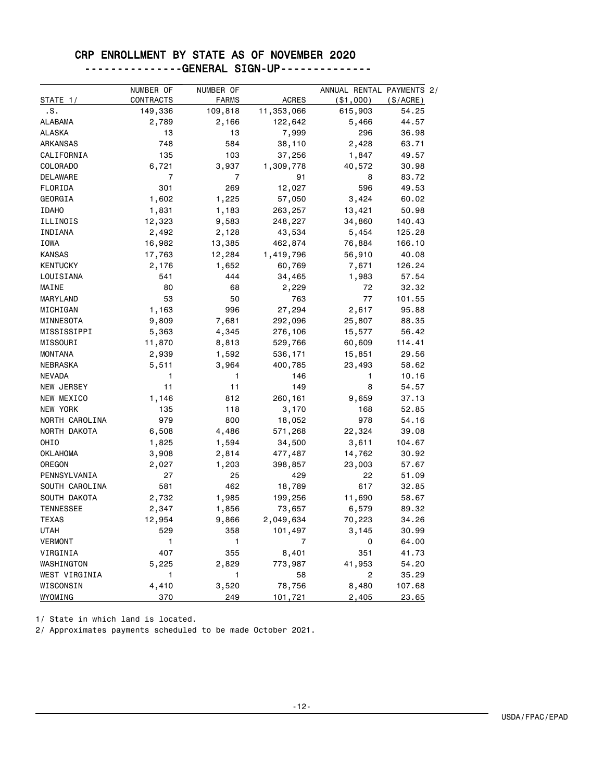### CRP ENROLLMENT BY STATE AS OF NOVEMBER 2020 ---------------GENERAL SIGN-UP--------------

| STATE 1/         | NUMBER OF<br>CONTRACTS | NUMBER OF<br>FARMS | <b>ACRES</b> | ANNUAL RENTAL PAYMENTS 2/<br>( \$1,000) | (S/ACRE) |
|------------------|------------------------|--------------------|--------------|-----------------------------------------|----------|
| .s.              | 149,336                | 109,818            | 11,353,066   | 615,903                                 | 54.25    |
| <b>ALABAMA</b>   | 2,789                  | 2,166              | 122,642      | 5,466                                   | 44.57    |
| ALASKA           | 13                     | 13                 | 7,999        | 296                                     | 36.98    |
| ARKANSAS         | 748                    | 584                | 38,110       | 2,428                                   | 63.71    |
| CALIFORNIA       | 135                    | 103                | 37,256       | 1,847                                   | 49.57    |
| COLORADO         | 6,721                  | 3,937              | 1,309,778    | 40,572                                  | 30.98    |
| <b>DELAWARE</b>  | 7                      | $\overline{7}$     | 91           | 8                                       | 83.72    |
| FLORIDA          | 301                    | 269                | 12,027       | 596                                     | 49.53    |
| GEORGIA          | 1,602                  | 1,225              | 57,050       | 3,424                                   | 60.02    |
| <b>IDAHO</b>     | 1,831                  | 1,183              | 263,257      | 13,421                                  | 50.98    |
| ILLINOIS         | 12,323                 | 9,583              | 248,227      | 34,860                                  | 140.43   |
| INDIANA          | 2,492                  | 2,128              | 43,534       | 5,454                                   | 125.28   |
| IOWA             | 16,982                 | 13,385             | 462,874      | 76,884                                  | 166.10   |
| <b>KANSAS</b>    | 17,763                 | 12,284             | 1,419,796    | 56,910                                  | 40.08    |
| <b>KENTUCKY</b>  | 2,176                  | 1,652              | 60,769       | 7,671                                   | 126.24   |
| LOUISIANA        | 541                    | 444                | 34,465       | 1,983                                   | 57.54    |
| MAINE            | 80                     | 68                 | 2,229        | 72                                      | 32.32    |
| MARYLAND         | 53                     | 50                 | 763          | 77                                      | 101.55   |
| MICHIGAN         | 1,163                  | 996                | 27,294       | 2,617                                   | 95.88    |
| MINNESOTA        | 9,809                  | 7,681              | 292,096      | 25,807                                  | 88.35    |
| MISSISSIPPI      | 5,363                  | 4,345              | 276,106      | 15,577                                  | 56.42    |
| MISSOURI         | 11,870                 | 8,813              | 529,766      | 60,609                                  | 114.41   |
| <b>MONTANA</b>   | 2,939                  | 1,592              | 536,171      | 15,851                                  | 29.56    |
| NEBRASKA         | 5,511                  | 3,964              | 400,785      | 23,493                                  | 58.62    |
| <b>NEVADA</b>    | 1                      | 1                  | 146          | 1                                       | 10.16    |
| NEW JERSEY       | 11                     | 11                 | 149          | 8                                       | 54.57    |
| NEW MEXICO       | 1,146                  | 812                | 260,161      | 9,659                                   | 37.13    |
| NEW YORK         | 135                    | 118                | 3,170        | 168                                     | 52.85    |
| NORTH CAROLINA   | 979                    | 800                | 18,052       | 978                                     | 54.16    |
| NORTH DAKOTA     | 6,508                  | 4,486              | 571,268      | 22,324                                  | 39.08    |
| OHIO             | 1,825                  | 1,594              | 34,500       | 3,611                                   | 104.67   |
| <b>OKLAHOMA</b>  | 3,908                  | 2,814              | 477,487      | 14,762                                  | 30.92    |
| OREGON           | 2,027                  | 1,203              | 398,857      | 23,003                                  | 57.67    |
| PENNSYLVANIA     | 27                     | 25                 | 429          | 22                                      | 51.09    |
| SOUTH CAROLINA   | 581                    | 462                | 18,789       | 617                                     | 32.85    |
| SOUTH DAKOTA     | 2,732                  | 1,985              | 199,256      | 11,690                                  | 58.67    |
| <b>TENNESSEE</b> | 2,347                  | 1,856              | 73,657       | 6,579                                   | 89.32    |
| TEXAS            | 12,954                 | 9,866              | 2,049,634    | 70,223                                  | 34.26    |
| UTAH             | 529                    | 358                | 101,497      | 3,145                                   | 30.99    |
| <b>VERMONT</b>   | $\mathbf{1}$           | $\mathbf{1}$       | 7            | 0                                       | 64.00    |
| VIRGINIA         | 407                    | 355                | 8,401        | 351                                     | 41.73    |
| WASHINGTON       | 5,225                  | 2,829              | 773,987      | 41,953                                  | 54.20    |
| WEST VIRGINIA    | $\mathbf{1}$           | 1                  | 58           | $\overline{2}$                          | 35.29    |
| WISCONSIN        | 4,410                  | 3,520              | 78,756       | 8,480                                   | 107.68   |
| WYOMING          | 370                    | 249                | 101,721      | 2,405                                   | 23.65    |

1/ State in which land is located.

2/ Approximates payments scheduled to be made October 2021.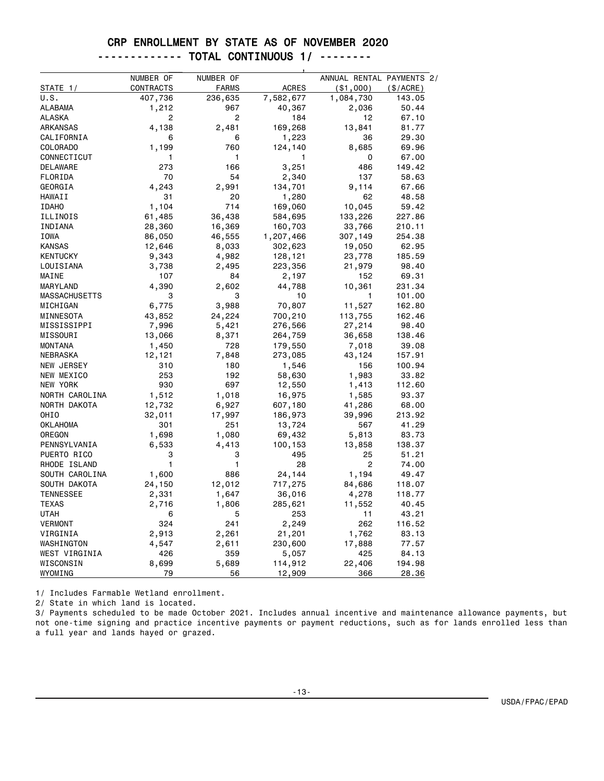#### CRP ENROLLMENT BY STATE AS OF NOVEMBER 2020

|--|--|--|--|--|

| NUMBER OF<br>NUMBER OF<br>ANNUAL RENTAL PAYMENTS 2/<br><b>ACRES</b><br>STATE 1/<br>CONTRACTS<br>FARMS<br>( \$1,000)<br>(\$/ACRE)<br>U.S.<br>407,736<br>236,635<br>7,582,677<br>1,084,730<br>143.05<br>1,212<br>967<br>40,367<br>2,036<br>ALABAMA<br>2<br>ALASKA<br>2<br>184<br>12<br>4,138<br>169,268<br>ARKANSAS<br>2,481<br>13,841<br>CALIFORNIA<br>1,223<br>6<br>6<br>36<br><b>COLORADO</b><br>1,199<br>760<br>8,685<br>124,140 | 50.44<br>67.10<br>81.77<br>29.30<br>69.96<br>67.00<br>149.42<br>58.63<br>67.66 |
|------------------------------------------------------------------------------------------------------------------------------------------------------------------------------------------------------------------------------------------------------------------------------------------------------------------------------------------------------------------------------------------------------------------------------------|--------------------------------------------------------------------------------|
|                                                                                                                                                                                                                                                                                                                                                                                                                                    |                                                                                |
|                                                                                                                                                                                                                                                                                                                                                                                                                                    |                                                                                |
|                                                                                                                                                                                                                                                                                                                                                                                                                                    |                                                                                |
|                                                                                                                                                                                                                                                                                                                                                                                                                                    |                                                                                |
|                                                                                                                                                                                                                                                                                                                                                                                                                                    |                                                                                |
|                                                                                                                                                                                                                                                                                                                                                                                                                                    |                                                                                |
|                                                                                                                                                                                                                                                                                                                                                                                                                                    |                                                                                |
|                                                                                                                                                                                                                                                                                                                                                                                                                                    |                                                                                |
| 1<br>0<br>CONNECTICUT<br>1<br>1                                                                                                                                                                                                                                                                                                                                                                                                    |                                                                                |
| 3,251<br>486<br>DELAWARE<br>273<br>166                                                                                                                                                                                                                                                                                                                                                                                             |                                                                                |
| FLORIDA<br>70<br>54<br>2,340<br>137                                                                                                                                                                                                                                                                                                                                                                                                |                                                                                |
| 4,243<br>2,991<br>GEORGIA<br>134,701<br>9,114                                                                                                                                                                                                                                                                                                                                                                                      |                                                                                |
| 31<br>20<br>1,280<br>62<br>HAWAII                                                                                                                                                                                                                                                                                                                                                                                                  | 48.58                                                                          |
| 1,104<br>714<br>169,060<br>10,045<br><b>IDAHO</b>                                                                                                                                                                                                                                                                                                                                                                                  | 59.42                                                                          |
| 133,226<br>ILLINOIS<br>61,485<br>36,438<br>584,695<br>227.86                                                                                                                                                                                                                                                                                                                                                                       |                                                                                |
| INDIANA<br>28,360<br>16,369<br>160,703<br>33,766<br>210.11                                                                                                                                                                                                                                                                                                                                                                         |                                                                                |
| <b>IOWA</b><br>46,555<br>307,149<br>86,050<br>1,207,466<br>254.38                                                                                                                                                                                                                                                                                                                                                                  |                                                                                |
| <b>KANSAS</b><br>12,646<br>8,033<br>302,623<br>19,050                                                                                                                                                                                                                                                                                                                                                                              | 62.95                                                                          |
| <b>KENTUCKY</b><br>9,343<br>4,982<br>128,121<br>23,778<br>185.59                                                                                                                                                                                                                                                                                                                                                                   |                                                                                |
| LOUISIANA<br>3,738<br>223,356<br>2,495<br>21,979                                                                                                                                                                                                                                                                                                                                                                                   | 98.40                                                                          |
| MAINE<br>107<br>84<br>152<br>2,197                                                                                                                                                                                                                                                                                                                                                                                                 | 69.31                                                                          |
| 4,390<br>10,361<br>MARYLAND<br>2,602<br>44,788<br>231.34                                                                                                                                                                                                                                                                                                                                                                           |                                                                                |
| <b>MASSACHUSETTS</b><br>3<br>3<br>10<br>101.00<br>1                                                                                                                                                                                                                                                                                                                                                                                |                                                                                |
| 6,775<br>70,807<br>11,527<br>3,988<br>162.80<br>MICHIGAN                                                                                                                                                                                                                                                                                                                                                                           |                                                                                |
| MINNESOTA<br>43,852<br>24,224<br>700,210<br>113,755<br>162.46                                                                                                                                                                                                                                                                                                                                                                      |                                                                                |
| MISSISSIPPI<br>7,996<br>5,421<br>276,566<br>27,214                                                                                                                                                                                                                                                                                                                                                                                 | 98.40                                                                          |
| MISSOURI<br>13,066<br>8,371<br>264,759<br>36,658<br>138.46                                                                                                                                                                                                                                                                                                                                                                         |                                                                                |
| <b>MONTANA</b><br>1,450<br>728<br>179,550<br>7,018                                                                                                                                                                                                                                                                                                                                                                                 | 39.08                                                                          |
| <b>NEBRASKA</b><br>7,848<br>273,085<br>43,124<br>157.91<br>12,121                                                                                                                                                                                                                                                                                                                                                                  |                                                                                |
| <b>NEW JERSEY</b><br>180<br>1,546<br>156<br>100.94<br>310                                                                                                                                                                                                                                                                                                                                                                          |                                                                                |
| 253<br>1,983<br>NEW MEXICO<br>192<br>58,630                                                                                                                                                                                                                                                                                                                                                                                        | 33.82                                                                          |
| 697<br>NEW YORK<br>930<br>12,550<br>1,413<br>112.60                                                                                                                                                                                                                                                                                                                                                                                |                                                                                |
| NORTH CAROLINA<br>1,512<br>1,018<br>16,975<br>1,585                                                                                                                                                                                                                                                                                                                                                                                | 93.37                                                                          |
| 12,732<br>6,927<br>607,180<br>41,286<br>NORTH DAKOTA                                                                                                                                                                                                                                                                                                                                                                               | 68.00                                                                          |
| OHIO<br>32,011<br>17,997<br>186,973<br>39,996<br>213.92                                                                                                                                                                                                                                                                                                                                                                            |                                                                                |
| <b>OKLAHOMA</b><br>301<br>251<br>13,724<br>567                                                                                                                                                                                                                                                                                                                                                                                     | 41.29                                                                          |
| OREGON<br>1,698<br>1,080<br>69,432<br>5,813                                                                                                                                                                                                                                                                                                                                                                                        | 83.73                                                                          |
| PENNSYLVANIA<br>6,533<br>13,858<br>138.37<br>4,413<br>100,153                                                                                                                                                                                                                                                                                                                                                                      |                                                                                |
| PUERTO RICO<br>3<br>3<br>495<br>25                                                                                                                                                                                                                                                                                                                                                                                                 | 51.21                                                                          |
| 1<br>1<br>$\overline{2}$<br>RHODE ISLAND<br>28                                                                                                                                                                                                                                                                                                                                                                                     | 74.00                                                                          |
| SOUTH CAROLINA<br>1,600<br>886<br>24,144<br>1,194                                                                                                                                                                                                                                                                                                                                                                                  | 49.47                                                                          |
| SOUTH DAKOTA<br>24,150<br>12,012<br>717,275<br>84,686<br>118.07                                                                                                                                                                                                                                                                                                                                                                    |                                                                                |
| 4,278<br><b>TENNESSEE</b><br>2,331<br>1,647<br>36,016<br>118.77                                                                                                                                                                                                                                                                                                                                                                    |                                                                                |
| <b>TEXAS</b><br>2,716<br>1,806<br>285,621<br>11,552                                                                                                                                                                                                                                                                                                                                                                                | 40.45                                                                          |
| UTAH<br>253<br>11<br>6<br>5                                                                                                                                                                                                                                                                                                                                                                                                        | 43.21                                                                          |
| <b>VERMONT</b><br>324<br>241<br>2,249<br>262<br>116.52                                                                                                                                                                                                                                                                                                                                                                             |                                                                                |
| 2,913<br>2,261<br>1,762<br>VIRGINIA<br>21,201                                                                                                                                                                                                                                                                                                                                                                                      | 83.13                                                                          |
| 4,547<br>230,600<br>17,888<br>WASHINGTON<br>2,611                                                                                                                                                                                                                                                                                                                                                                                  | 77.57                                                                          |
| WEST VIRGINIA<br>426<br>359<br>5,057<br>425                                                                                                                                                                                                                                                                                                                                                                                        | 84.13                                                                          |
| WISCONSIN<br>8,699<br>114,912<br>22,406<br>5,689<br>194.98                                                                                                                                                                                                                                                                                                                                                                         |                                                                                |
| 79<br>WYOMING<br>56<br>12,909<br>366                                                                                                                                                                                                                                                                                                                                                                                               | 28.36                                                                          |

1/ Includes Farmable Wetland enrollment.

2/ State in which land is located.

3/ Payments scheduled to be made October 2021. Includes annual incentive and maintenance allowance payments, but not one-time signing and practice incentive payments or payment reductions, such as for lands enrolled less than a full year and lands hayed or grazed.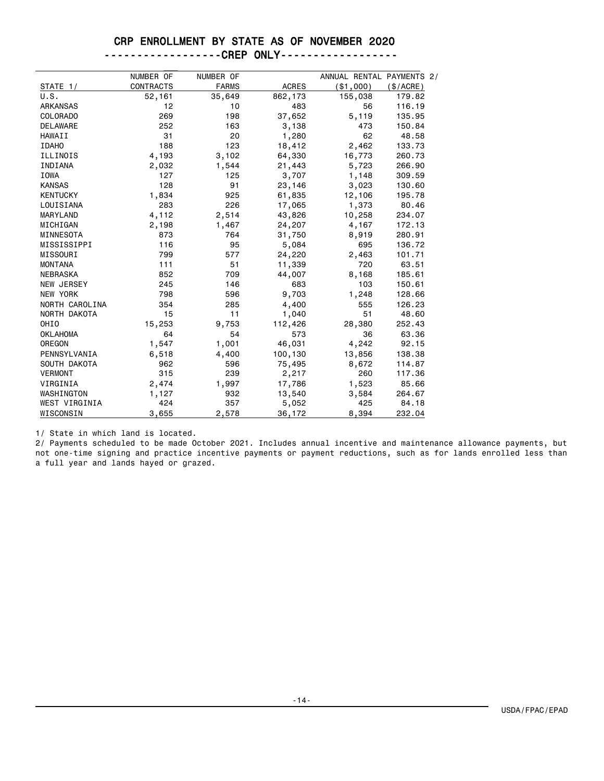#### CRP ENROLLMENT BY STATE AS OF NOVEMBER 2020

| ------------------CREP | <b>ONLY------------------</b> |
|------------------------|-------------------------------|
|------------------------|-------------------------------|

|                  | NUMBER OF        | NUMBER OF    |              | ANNUAL RENTAL PAYMENTS 2/ |           |
|------------------|------------------|--------------|--------------|---------------------------|-----------|
| STATE 1/         | <b>CONTRACTS</b> | <b>FARMS</b> | <b>ACRES</b> | ( \$1,000)                | (\$/ACRE) |
| U.S.             | 52,161           | 35,649       | 862,173      | 155,038                   | 179.82    |
| <b>ARKANSAS</b>  | 12               | 10           | 483          | 56                        | 116.19    |
| <b>COLORADO</b>  | 269              | 198          | 37,652       | 5,119                     | 135.95    |
| <b>DELAWARE</b>  | 252              | 163          | 3,138        | 473                       | 150.84    |
| <b>HAWAII</b>    | 31               | 20           | 1,280        | 62                        | 48.58     |
| <b>IDAHO</b>     | 188              | 123          | 18,412       | 2,462                     | 133.73    |
| ILLINOIS         | 4,193            | 3,102        | 64,330       | 16,773                    | 260.73    |
| INDIANA          | 2,032            | 1,544        | 21,443       | 5,723                     | 266.90    |
| <b>IOWA</b>      | 127              | 125          | 3,707        | 1,148                     | 309.59    |
| <b>KANSAS</b>    | 128              | 91           | 23,146       | 3,023                     | 130.60    |
| <b>KENTUCKY</b>  | 1,834            | 925          | 61,835       | 12,106                    | 195.78    |
| LOUISIANA        | 283              | 226          | 17,065       | 1,373                     | 80.46     |
| MARYLAND         | 4,112            | 2,514        | 43,826       | 10,258                    | 234.07    |
| MICHIGAN         | 2,198            | 1,467        | 24,207       | 4,167                     | 172.13    |
| MINNESOTA        | 873              | 764          | 31,750       | 8,919                     | 280.91    |
| MISSISSIPPI      | 116              | 95           | 5,084        | 695                       | 136.72    |
| MISSOURI         | 799              | 577          | 24,220       | 2,463                     | 101.71    |
| <b>MONTANA</b>   | 111              | 51           | 11,339       | 720                       | 63.51     |
| <b>NEBRASKA</b>  | 852              | 709          | 44,007       | 8,168                     | 185.61    |
| NEW JERSEY       | 245              | 146          | 683          | 103                       | 150.61    |
| <b>NEW YORK</b>  | 798              | 596          | 9,703        | 1,248                     | 128,66    |
| NORTH CAROLINA   | 354              | 285          | 4,400        | 555                       | 126.23    |
| NORTH DAKOTA     | 15               | 11           | 1,040        | 51                        | 48.60     |
| OHI <sub>0</sub> | 15,253           | 9,753        | 112,426      | 28,380                    | 252.43    |
| <b>OKLAHOMA</b>  | 64               | 54           | 573          | 36                        | 63.36     |
| OREGON           | 1,547            | 1,001        | 46,031       | 4,242                     | 92.15     |
| PENNSYLVANIA     | 6,518            | 4,400        | 100,130      | 13,856                    | 138.38    |
| SOUTH DAKOTA     | 962              | 596          | 75,495       | 8,672                     | 114.87    |
| <b>VERMONT</b>   | 315              | 239          | 2,217        | 260                       | 117.36    |
| VIRGINIA         | 2,474            | 1,997        | 17,786       | 1,523                     | 85,66     |
| WASHINGTON       | 1,127            | 932          | 13,540       | 3,584                     | 264.67    |
| WEST VIRGINIA    | 424              | 357          | 5,052        | 425                       | 84.18     |
| WISCONSIN        | 3,655            | 2,578        | 36,172       | 8,394                     | 232.04    |

1/ State in which land is located.

2/ Payments scheduled to be made October 2021. Includes annual incentive and maintenance allowance payments, but not one-time signing and practice incentive payments or payment reductions, such as for lands enrolled less than a full year and lands hayed or grazed.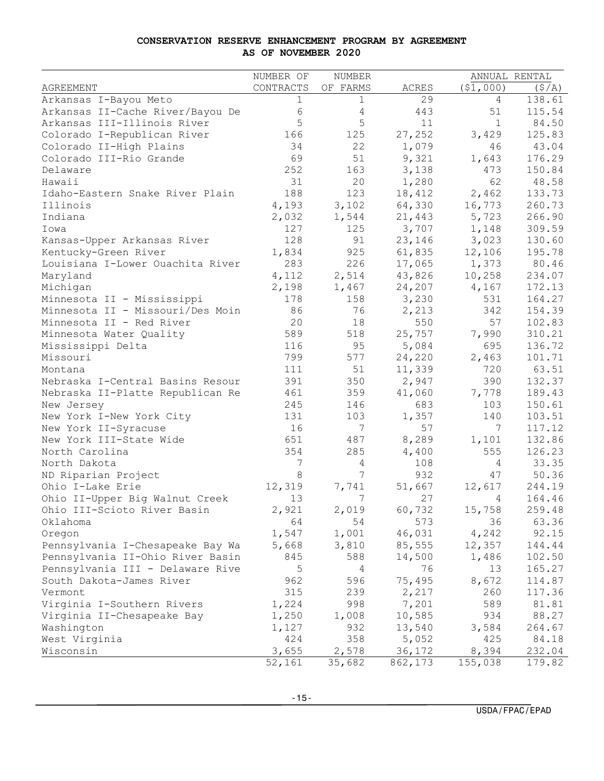#### **CONSERVATION RESERVE ENHANCEMENT PROGRAM BY AGREEMENT AS OF NOVEMBER 2020**

|                                  | NUMBER OF   | NUMBER      |         |              | ANNUAL RENTAL |
|----------------------------------|-------------|-------------|---------|--------------|---------------|
| AGREEMENT                        | CONTRACTS   | OF FARMS    | ACRES   | (51,000)     | (S/A)         |
| Arkansas I-Bayou Meto            | $\mathbf 1$ | $\mathbf 1$ | 29      | 4            | 138.61        |
| Arkansas II-Cache River/Bayou De | 6           | 4           | 443     | 51           | 115.54        |
| Arkansas III-Illinois River      | 5           | 5           | 11      | $\mathbf{1}$ | 84.50         |
| Colorado I-Republican River      | 166         | 125         | 27,252  | 3,429        | 125.83        |
| Colorado II-High Plains          | 34          | 22          | 1,079   | 46           | 43.04         |
| Colorado III-Rio Grande          | 69          | 51          | 9,321   | 1,643        | 176.29        |
| Delaware                         | 252         | 163         | 3,138   | 473          | 150.84        |
| Hawaii                           | 31          | 20          | 1,280   | 62           | 48.58         |
| Idaho-Eastern Snake River Plain  | 188         | 123         | 18,412  | 2,462        | 133.73        |
| Illinois                         | 4,193       | 3,102       | 64,330  | 16,773       | 260.73        |
| Indiana                          | 2,032       | 1,544       | 21,443  | 5,723        | 266.90        |
| Iowa                             | 127         | 125         | 3,707   | 1,148        | 309.59        |
| Kansas-Upper Arkansas River      | 128         | 91          | 23,146  | 3,023        | 130.60        |
| Kentucky-Green River             | 1,834       | 925         | 61,835  | 12,106       | 195.78        |
| Louisiana I-Lower Ouachita River | 283         | 226         | 17,065  | 1,373        | 80.46         |
| Maryland                         | 4,112       | 2,514       | 43,826  | 10,258       | 234.07        |
| Michigan                         | 2,198       | 1,467       | 24,207  | 4,167        | 172.13        |
| Minnesota II - Mississippi       | 178         | 158         | 3,230   | 531          | 164.27        |
| Minnesota II - Missouri/Des Moin | 86          | 76          | 2,213   | 342          | 154.39        |
| Minnesota II - Red River         | 20          | 18          | 550     | 57           | 102.83        |
| Minnesota Water Quality          | 589         | 518         | 25,757  | 7,990        | 310.21        |
| Mississippi Delta                | 116         | 95          | 5,084   | 695          | 136.72        |
| Missouri                         | 799         | 577         | 24,220  | 2,463        | 101.71        |
| Montana                          | 111         | 51          | 11,339  | 720          | 63.51         |
| Nebraska I-Central Basins Resour | 391         | 350         | 2,947   | 390          | 132.37        |
| Nebraska II-Platte Republican Re | 461         | 359         | 41,060  | 7,778        | 189.43        |
| New Jersey                       | 245         | 146         | 683     | 103          | 150.61        |
| New York I-New York City         | 131         | 103         | 1,357   | 140          | 103.51        |
| New York II-Syracuse             | 16          | 7           | 57      | 7            | 117.12        |
| New York III-State Wide          | 651         | 487         | 8,289   | 1,101        | 132.86        |
| North Carolina                   | 354         | 285         | 4,400   | 555          | 126.23        |
| North Dakota                     | 7           | 4           | 108     | 4            | 33.35         |
| ND Riparian Project              | 8           | 7           | 932     | 47           | 50.36         |
| Ohio I-Lake Erie                 | 12,319      | 7,741       | 51,667  | 12,617       | 244.19        |
| Ohio II-Upper Big Walnut Creek   | 13          | 7           | 27      | 4            | 164.46        |
| Ohio III-Scioto River Basin      | 2,921       | 2,019       | 60,732  | 15,758       | 259.48        |
| Oklahoma                         | 64          | 54          | 573     | 36           | 63.36         |
| Oregon                           | 1,547       | 1,001       | 46,031  | 4,242        | 92.15         |
| Pennsylvania I-Chesapeake Bay Wa | 5,668       | 3,810       | 85,555  | 12,357       | 144.44        |
| Pennsylvania II-Ohio River Basin | 845         | 588         | 14,500  | 1,486        | 102.50        |
| Pennsylvania III - Delaware Rive | 5           | 4           | 76      | 13           | 165.27        |
| South Dakota-James River         | 962         | 596         | 75,495  | 8,672        | 114.87        |
| Vermont                          | 315         | 239         | 2,217   | 260          | 117.36        |
| Virginia I-Southern Rivers       | 1,224       | 998         | 7,201   | 589          | 81.81         |
| Virginia II-Chesapeake Bay       | 1,250       | 1,008       | 10,585  | 934          | 88.27         |
| Washington                       | 1,127       | 932         | 13,540  | 3,584        | 264.67        |
| West Virginia                    | 424         | 358         | 5,052   | 425          | 84.18         |
| Wisconsin                        | 3,655       | 2,578       | 36,172  | 8,394        | 232.04        |
|                                  | 52,161      | 35,682      | 862,173 | 155,038      | 179.82        |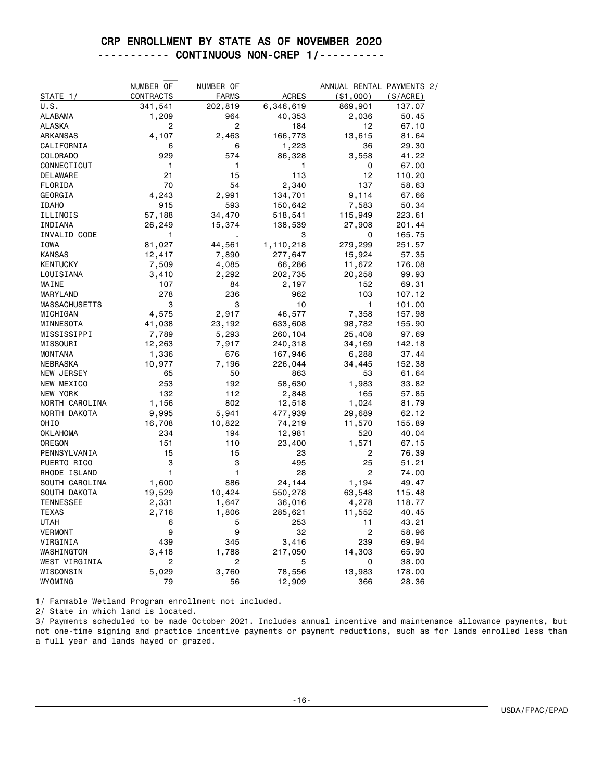#### CRP ENROLLMENT BY STATE AS OF NOVEMBER 2020 ----------- CONTINUOUS NON-CREP 1/----------

| STATE 1/             | NUMBER OF<br>CONTRACTS | NUMBER OF<br><b>FARMS</b> | <b>ACRES</b> | ANNUAL RENTAL PAYMENTS 2/ | (\$/ACRE)       |
|----------------------|------------------------|---------------------------|--------------|---------------------------|-----------------|
| U.S.                 | 341,541                | 202,819                   | 6,346,619    | ( \$1,000)<br>869,901     |                 |
| <b>ALABAMA</b>       | 1,209                  | 964                       | 40,353       | 2,036                     | 137.07<br>50.45 |
| <b>ALASKA</b>        | 2                      | 2                         | 184          | 12                        |                 |
|                      |                        |                           |              |                           | 67.10           |
| ARKANSAS             | 4,107                  | 2,463                     | 166,773      | 13,615                    | 81.64           |
| CALIFORNIA           | 6                      | 6                         | 1,223        | 36                        | 29.30           |
| <b>COLORADO</b>      | 929                    | 574                       | 86,328       | 3,558                     | 41.22           |
| CONNECTICUT          | 1                      | 1                         | 1            | 0                         | 67.00           |
| DELAWARE             | 21                     | 15                        | 113          | 12                        | 110.20          |
| FLORIDA              | 70                     | 54                        | 2,340        | 137                       | 58,63           |
| GEORGIA              | 4,243                  | 2,991                     | 134,701      | 9,114                     | 67.66           |
| <b>IDAHO</b>         | 915                    | 593                       | 150,642      | 7,583                     | 50.34           |
| ILLINOIS             | 57,188                 | 34,470                    | 518,541      | 115,949                   | 223.61          |
| INDIANA              | 26,249                 | 15,374                    | 138,539      | 27,908                    | 201.44          |
| INVALID CODE         | 1                      |                           | 3            | 0                         | 165.75          |
| <b>IOWA</b>          | 81,027                 | 44,561                    | 1,110,218    | 279,299                   | 251.57          |
| <b>KANSAS</b>        | 12,417                 | 7,890                     | 277,647      | 15,924                    | 57.35           |
| <b>KENTUCKY</b>      | 7,509                  | 4,085                     | 66,286       | 11,672                    | 176.08          |
| LOUISIANA            | 3,410                  | 2,292                     | 202,735      | 20,258                    | 99.93           |
| MAINE                | 107                    | 84                        | 2,197        | 152                       | 69.31           |
| MARYLAND             | 278                    | 236                       | 962          | 103                       | 107.12          |
| <b>MASSACHUSETTS</b> | 3                      | 3                         | 10           | 1                         | 101.00          |
| MICHIGAN             | 4,575                  | 2,917                     | 46,577       | 7,358                     | 157.98          |
| MINNESOTA            | 41,038                 | 23,192                    | 633,608      | 98,782                    | 155.90          |
| MISSISSIPPI          | 7,789                  | 5,293                     | 260,104      | 25,408                    | 97.69           |
| MISSOURI             | 12,263                 | 7,917                     | 240,318      | 34,169                    | 142.18          |
| <b>MONTANA</b>       | 1,336                  | 676                       | 167,946      | 6,288                     | 37.44           |
| <b>NEBRASKA</b>      | 10,977                 | 7,196                     | 226,044      | 34,445                    | 152.38          |
| <b>NEW JERSEY</b>    | 65                     | 50                        | 863          | 53                        | 61.64           |
| NEW MEXICO           | 253                    | 192                       | 58,630       | 1,983                     | 33.82           |
| NEW YORK             | 132                    | 112                       | 2,848        | 165                       | 57.85           |
| NORTH CAROLINA       | 1,156                  | 802                       | 12,518       | 1,024                     | 81.79           |
| NORTH DAKOTA         | 9,995                  | 5,941                     | 477,939      | 29,689                    | 62.12           |
| OHIO                 | 16,708                 | 10,822                    | 74,219       | 11,570                    | 155.89          |
| <b>OKLAHOMA</b>      | 234                    | 194                       | 12,981       | 520                       | 40.04           |
| OREGON               | 151                    | 110                       | 23,400       | 1,571                     | 67.15           |
| PENNSYLVANIA         | 15                     | 15                        | 23           | 2                         | 76.39           |
| PUERTO RICO          | 3                      | 3                         | 495          | 25                        | 51.21           |
| RHODE ISLAND         | 1                      | $\mathbf{1}$              | 28           | 2                         | 74.00           |
| SOUTH CAROLINA       | 1,600                  | 886                       | 24,144       | 1,194                     | 49.47           |
| SOUTH DAKOTA         | 19,529                 | 10,424                    | 550,278      | 63,548                    | 115.48          |
| <b>TENNESSEE</b>     | 2,331                  | 1,647                     | 36,016       | 4,278                     | 118.77          |
| <b>TEXAS</b>         | 2,716                  | 1,806                     | 285,621      | 11,552                    | 40.45           |
| <b>UTAH</b>          | 6                      | 5                         | 253          | 11                        | 43.21           |
| <b>VERMONT</b>       | 9                      | 9                         | 32           | 2                         | 58.96           |
| VIRGINIA             | 439                    | 345                       | 3,416        | 239                       | 69.94           |
| WASHINGTON           | 3,418                  | 1,788                     | 217,050      | 14,303                    | 65.90           |
| WEST VIRGINIA        | 2                      | 2                         | 5            | $\mathbf 0$               | 38.00           |
| WISCONSIN            | 5,029                  | 3,760                     | 78,556       | 13,983                    | 178.00          |
| WYOMING              | 79                     | 56                        | 12,909       | 366                       | 28.36           |
|                      |                        |                           |              |                           |                 |

1/ Farmable Wetland Program enrollment not included.

2/ State in which land is located.

3/ Payments scheduled to be made October 2021. Includes annual incentive and maintenance allowance payments, but not one-time signing and practice incentive payments or payment reductions, such as for lands enrolled less than a full year and lands hayed or grazed.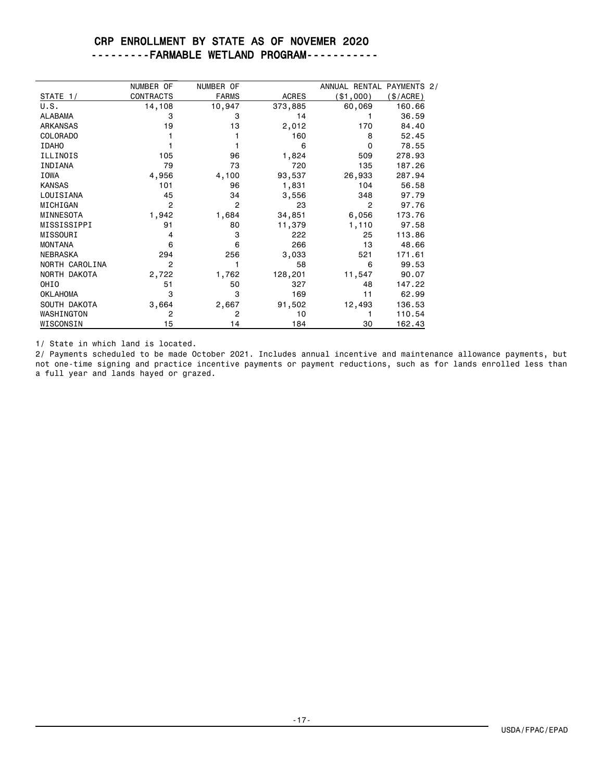### CRP ENROLLMENT BY STATE AS OF NOVEMER 2020 ---------FARMABLE WETLAND PROGRAM-----------

|                  | NUMBER OF        | NUMBER OF      |              | ANNUAL RENTAL PAYMENTS 2/ |          |
|------------------|------------------|----------------|--------------|---------------------------|----------|
| STATE 1/         | <b>CONTRACTS</b> | <b>FARMS</b>   | <b>ACRES</b> | (\$1,000)                 | \$/ACRE) |
| U.S.             | 14,108           | 10,947         | 373,885      | 60,069                    | 160.66   |
| <b>ALABAMA</b>   | 3                | 3              | 14           |                           | 36.59    |
| <b>ARKANSAS</b>  | 19               | 13             | 2,012        | 170                       | 84.40    |
| <b>COLORADO</b>  |                  |                | 160          | 8                         | 52.45    |
| <b>IDAHO</b>     |                  |                | 6            | 0                         | 78.55    |
| <b>ILLINOIS</b>  | 105              | 96             | 1,824        | 509                       | 278.93   |
| INDIANA          | 79               | 73             | 720          | 135                       | 187.26   |
| <b>IOWA</b>      | 4,956            | 4,100          | 93,537       | 26,933                    | 287.94   |
| <b>KANSAS</b>    | 101              | 96             | 1,831        | 104                       | 56.58    |
| LOUISIANA        | 45               | 34             | 3,556        | 348                       | 97.79    |
| MICHIGAN         | 2                | $\overline{2}$ | 23           | 2                         | 97.76    |
| MINNESOTA        | 1,942            | 1,684          | 34,851       | 6,056                     | 173.76   |
| MISSISSIPPI      | 91               | 80             | 11,379       | 1,110                     | 97.58    |
| MISSOURI         | 4                | 3              | 222          | 25                        | 113.86   |
| <b>MONTANA</b>   | 6                | 6              | 266          | 13                        | 48.66    |
| <b>NEBRASKA</b>  | 294              | 256            | 3,033        | 521                       | 171.61   |
| NORTH CAROLINA   | 2                |                | 58           | 6                         | 99.53    |
| NORTH DAKOTA     | 2,722            | 1,762          | 128,201      | 11,547                    | 90.07    |
| OHI <sub>0</sub> | 51               | 50             | 327          | 48                        | 147.22   |
| <b>OKLAHOMA</b>  | 3                | 3              | 169          | 11                        | 62.99    |
| SOUTH DAKOTA     | 3,664            | 2,667          | 91,502       | 12,493                    | 136.53   |
| WASHINGTON       | 2                | 2              | 10           |                           | 110.54   |
| WISCONSIN        | 15               | 14             | 184          | 30                        | 162.43   |

1/ State in which land is located.

2/ Payments scheduled to be made October 2021. Includes annual incentive and maintenance allowance payments, but not one-time signing and practice incentive payments or payment reductions, such as for lands enrolled less than a full year and lands hayed or grazed.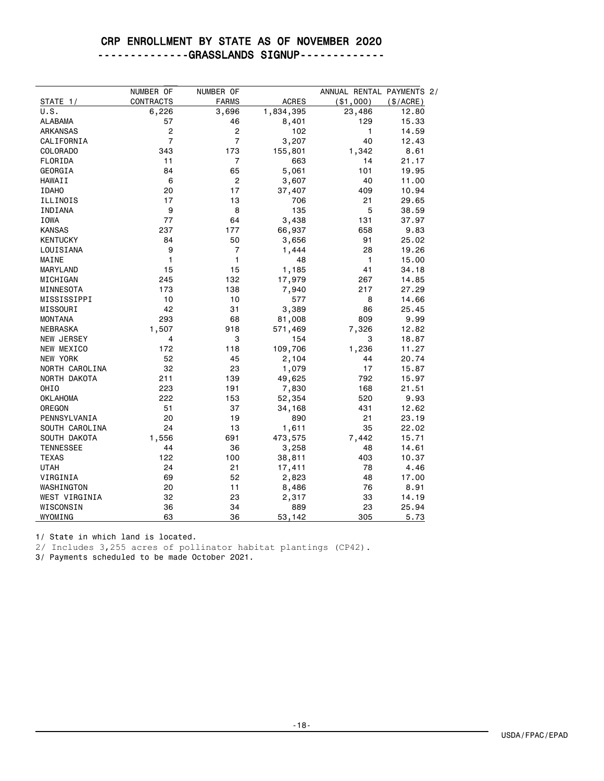# CRP ENROLLMENT BY STATE AS OF NOVEMBER 2020

--------------GRASSLANDS SIGNUP-------------

|                   | NUMBER OF               | NUMBER OF               |              | ANNUAL RENTAL PAYMENTS 2/ |           |
|-------------------|-------------------------|-------------------------|--------------|---------------------------|-----------|
| STATE 1/          | <b>CONTRACTS</b>        | <b>FARMS</b>            | <b>ACRES</b> | ( \$1,000)                | (\$/ACRE) |
| U.S.              | 6,226                   | 3,696                   | 1,834,395    | 23,486                    | 12.80     |
| <b>ALABAMA</b>    | 57                      | 46                      | 8,401        | 129                       | 15.33     |
| <b>ARKANSAS</b>   | $\overline{\mathbf{c}}$ | $\overline{\mathbf{c}}$ | 102          | 1                         | 14.59     |
| CALIFORNIA        | $\overline{7}$          | $\overline{7}$          | 3,207        | 40                        | 12.43     |
| <b>COLORADO</b>   | 343                     | 173                     | 155,801      | 1,342                     | 8.61      |
| FLORIDA           | 11                      | $\overline{7}$          | 663          | 14                        | 21.17     |
| GEORGIA           | 84                      | 65                      | 5,061        | 101                       | 19.95     |
| <b>HAWAII</b>     | 6                       | $\overline{c}$          | 3,607        | 40                        | 11.00     |
| <b>IDAHO</b>      | 20                      | 17                      | 37,407       | 409                       | 10.94     |
| ILLINOIS          | 17                      | 13                      | 706          | 21                        | 29.65     |
| INDIANA           | 9                       | 8                       | 135          | 5                         | 38.59     |
| <b>IOWA</b>       | 77                      | 64                      | 3,438        | 131                       | 37.97     |
| <b>KANSAS</b>     | 237                     | 177                     | 66,937       | 658                       | 9.83      |
| <b>KENTUCKY</b>   | 84                      | 50                      | 3,656        | 91                        | 25.02     |
| LOUISIANA         | 9                       | 7                       | 1,444        | 28                        | 19.26     |
| MAINE             | 1                       | 1                       | 48           | 1                         | 15.00     |
| MARYLAND          | 15                      | 15                      | 1,185        | 41                        | 34.18     |
| MICHIGAN          | 245                     | 132                     | 17,979       | 267                       | 14.85     |
| MINNESOTA         | 173                     | 138                     | 7,940        | 217                       | 27.29     |
| MISSISSIPPI       | 10                      | 10                      | 577          | 8                         | 14.66     |
| MISSOURI          | 42                      | 31                      | 3,389        | 86                        | 25.45     |
| <b>MONTANA</b>    | 293                     | 68                      | 81,008       | 809                       | 9.99      |
| <b>NEBRASKA</b>   | 1,507                   | 918                     | 571,469      | 7,326                     | 12.82     |
| <b>NEW JERSEY</b> | 4                       | 3                       | 154          | 3                         | 18.87     |
| NEW MEXICO        | 172                     | 118                     | 109,706      | 1,236                     | 11.27     |
| NEW YORK          | 52                      | 45                      | 2,104        | 44                        | 20.74     |
| NORTH CAROLINA    | 32                      | 23                      | 1,079        | 17                        | 15.87     |
| NORTH DAKOTA      | 211                     | 139                     | 49,625       | 792                       | 15.97     |
| OHIO              | 223                     | 191                     | 7,830        | 168                       | 21.51     |
| <b>OKLAHOMA</b>   | 222                     | 153                     | 52,354       | 520                       | 9.93      |
| OREGON            | 51                      | 37                      | 34,168       | 431                       | 12.62     |
| PENNSYLVANIA      | 20                      | 19                      | 890          | 21                        | 23.19     |
| SOUTH CAROLINA    | 24                      | 13                      | 1,611        | 35                        | 22.02     |
| SOUTH DAKOTA      | 1,556                   | 691                     | 473,575      | 7,442                     | 15.71     |
| <b>TENNESSEE</b>  | 44                      | 36                      | 3,258        | 48                        | 14.61     |
| <b>TEXAS</b>      | 122                     | 100                     | 38,811       | 403                       | 10.37     |
| <b>UTAH</b>       | 24                      | 21                      | 17,411       | 78                        | 4.46      |
| VIRGINIA          | 69                      | 52                      | 2,823        | 48                        | 17.00     |
| WASHINGTON        | 20                      | 11                      |              | 76                        | 8.91      |
|                   |                         |                         | 8,486        |                           |           |
| WEST VIRGINIA     | 32                      | 23                      | 2,317        | 33                        | 14.19     |
| WISCONSIN         | 36                      | 34                      | 889          | 23                        | 25.94     |
| WYOMING           | 63                      | 36                      | 53,142       | 305                       | 5.73      |

1/ State in which land is located.

2/ Includes 3,255 acres of pollinator habitat plantings (CP42).

3/ Payments scheduled to be made October 2021.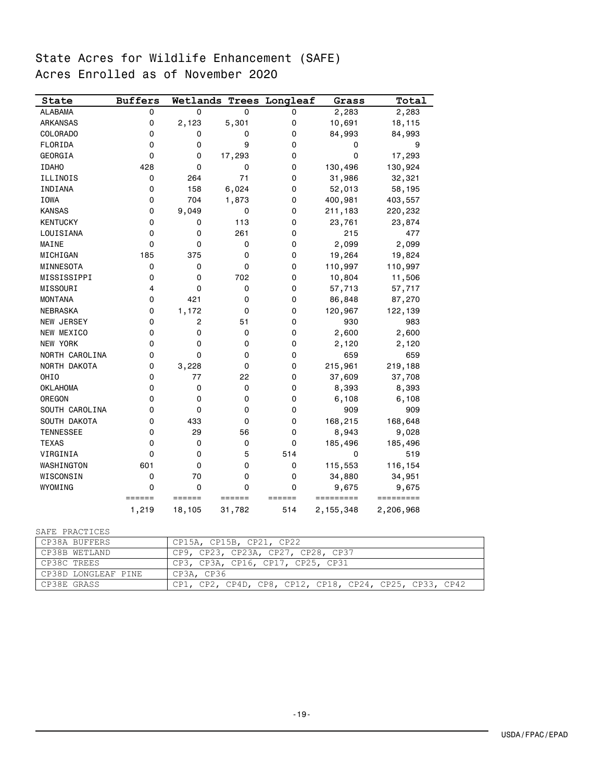# State Acres for Wildlife Enhancement (SAFE) Acres Enrolled as of November 2020

| State            | <b>Buffers</b> |                |                     | Wetlands Trees Longleaf | Grass     | Total     |
|------------------|----------------|----------------|---------------------|-------------------------|-----------|-----------|
| <b>ALABAMA</b>   | 0              | $\mathbf 0$    | 0                   | 0                       | 2,283     | 2,283     |
| <b>ARKANSAS</b>  | 0              | 2,123          | 5,301               | 0                       | 10,691    | 18,115    |
| <b>COLORADO</b>  | 0              | 0              | 0                   | 0                       | 84,993    | 84,993    |
| FLORIDA          | 0              | 0              | 9                   | 0                       | 0         | 9         |
| GEORGIA          | 0              | 0              | 17,293              | 0                       | 0         | 17,293    |
| <b>IDAHO</b>     | 428            | 0              | 0                   | 0                       | 130,496   | 130,924   |
| ILLINOIS         | 0              | 264            | 71                  | 0                       | 31,986    | 32,321    |
| INDIANA          | 0              | 158            | 6,024               | 0                       | 52,013    | 58,195    |
| IOWA             | 0              | 704            | 1,873               | 0                       | 400,981   | 403,557   |
| <b>KANSAS</b>    | 0              | 9,049          | 0                   | 0                       | 211,183   | 220,232   |
| <b>KENTUCKY</b>  | 0              | 0              | 113                 | 0                       | 23,761    | 23,874    |
| LOUISIANA        | 0              | 0              | 261                 | 0                       | 215       | 477       |
| MAINE            | 0              | 0              | 0                   | 0                       | 2,099     | 2,099     |
| MICHIGAN         | 185            | 375            | 0                   | 0                       | 19,264    | 19,824    |
| MINNESOTA        | 0              | 0              | 0                   | 0                       | 110,997   | 110,997   |
| MISSISSIPPI      | 0              | 0              | 702                 | 0                       | 10,804    | 11,506    |
| MISSOURI         | 4              | 0              | 0                   | 0                       | 57,713    | 57,717    |
| <b>MONTANA</b>   | 0              | 421            | $\Omega$            | 0                       | 86,848    | 87,270    |
| <b>NEBRASKA</b>  | 0              | 1,172          | 0                   | 0                       | 120,967   | 122,139   |
| NEW JERSEY       | 0              | $\overline{c}$ | 51                  | 0                       | 930       | 983       |
| NEW MEXICO       | 0              | 0              | 0                   | 0                       | 2,600     | 2,600     |
| NEW YORK         | 0              | 0              | 0                   | 0                       | 2,120     | 2,120     |
| NORTH CAROLINA   | 0              | 0              | 0                   | 0                       | 659       | 659       |
| NORTH DAKOTA     | 0              | 3,228          | 0                   | 0                       | 215,961   | 219,188   |
| OHIO             | 0              | 77             | 22                  | 0                       | 37,609    | 37,708    |
| <b>OKLAHOMA</b>  | 0              | 0              | 0                   | 0                       | 8,393     | 8,393     |
| OREGON           | 0              | 0              | 0                   | 0                       | 6,108     | 6,108     |
| SOUTH CAROLINA   | 0              | 0              | 0                   | 0                       | 909       | 909       |
| SOUTH DAKOTA     | 0              | 433            | 0                   | 0                       | 168,215   | 168,648   |
| <b>TENNESSEE</b> | 0              | 29             | 56                  | 0                       | 8,943     | 9,028     |
| <b>TEXAS</b>     | 0              | 0              | 0                   | 0                       | 185,496   | 185,496   |
| VIRGINIA         | 0              | 0              | 5                   | 514                     | 0         | 519       |
| WASHINGTON       | 601            | 0              | 0                   | 0                       | 115,553   | 116,154   |
| WISCONSIN        | 0              | 70             | 0                   | 0                       | 34,880    | 34,951    |
| WYOMING          | 0              | 0              | $\Omega$            | 0                       | 9,675     | 9,675     |
|                  | ======         | ======         | $=$ $=$ $=$ $=$ $=$ | ======                  | ========= | ========= |
|                  | 1,219          | 18,105         | 31,782              | 514                     | 2,155,348 | 2,206,968 |

#### SAFE PRACTICES

| CP38A BUFFERS       | CP15A, CP15B, CP21, CP22                                |
|---------------------|---------------------------------------------------------|
| CP38B WETLAND       | CP9, CP23, CP23A, CP27, CP28, CP37                      |
| CP38C TREES         | CP3, CP3A, CP16, CP17, CP25, CP31                       |
| CP38D LONGLEAF PINE | CP3A, CP36                                              |
| CP38E GRASS         | CP1, CP2, CP4D, CP8, CP12, CP18, CP24, CP25, CP33, CP42 |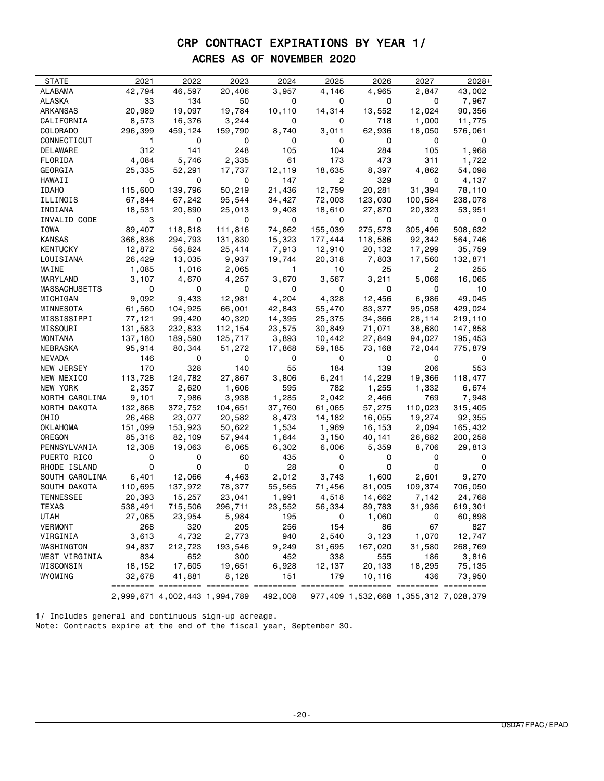# CRP CONTRACT EXPIRATIONS BY YEAR 1/ ACRES AS OF NOVEMBER 2020

| <b>STATE</b>               | 2021              | 2022                          | 2023    | 2024            | 2025         | 2026             | 2027    | $2028+$                               |
|----------------------------|-------------------|-------------------------------|---------|-----------------|--------------|------------------|---------|---------------------------------------|
| ALABAMA                    | 42,794            | 46,597                        | 20,406  | 3,957           | 4,146        | 4,965            | 2,847   | 43,002                                |
|                            | 33                | 134                           |         | 0               | 0            | 0                | 0       | 7,967                                 |
| ALASKA                     |                   |                               | 50      |                 |              |                  |         |                                       |
| ARKANSAS                   | 20,989            | 19,097                        | 19,784  | 10,110          | 14,314       | 13,552           | 12,024  | 90,356                                |
| CALIFORNIA                 | 8,573             | 16,376                        | 3,244   | 0               | 0            | 718              | 1,000   | 11,775                                |
| COLORADO                   | 296,399           | 459,124                       | 159,790 | 8,740           | 3,011        | 62,936           | 18,050  | 576,061                               |
| CONNECTICUT                | 1.                | 0                             | 0       | 0               | 0            | 0                | 0       | 0                                     |
| DELAWARE                   | 312               | 141                           | 248     | 105             | 104          | 284              | 105     | 1,968                                 |
| FLORIDA                    | 4,084             | 5,746                         | 2,335   | 61              | 173          | 473              | 311     | 1,722                                 |
| GEORGIA                    | 25,335            | 52,291                        | 17,737  | 12,119          | 18,635       | 8,397            | 4,862   | 54,098                                |
| HAWAII                     | 0                 | 0                             | 0       | 147             | 2            | 329              | 0       | 4,137                                 |
| <b>IDAHO</b>               | 115,600           | 139,796                       | 50,219  | 21,436          | 12,759       | 20,281           | 31,394  | 78,110                                |
| ILLINOIS                   | 67,844            | 67,242                        | 95,544  | 34,427          | 72,003       | 123,030          | 100,584 | 238,078                               |
| INDIANA                    | 18,531            | 20,890                        | 25,013  | 9,408           | 18,610       | 27,870           | 20,323  | 53,951                                |
| INVALID CODE               | 3                 | 0                             | 0       | 0               | 0            | 0                | 0       | 0                                     |
| IOWA                       | 89,407            | 118,818                       | 111,816 | 74,862          | 155,039      | 275,573          | 305,496 | 508,632                               |
| KANSAS                     | 366,836           | 294,793                       | 131,830 | 15,323          | 177,444      | 118,586          | 92,342  | 564,746                               |
| KENTUCKY                   | 12,872            | 56,824                        | 25,414  | 7,913           | 12,910       | 20,132           | 17,299  | 35,759                                |
| LOUISIANA                  | 26,429            | 13,035                        | 9,937   | 19,744          | 20,318       | 7,803            | 17,560  | 132,871                               |
| MAINE                      | 1,085             | 1,016                         | 2,065   | $\mathbf{1}$    | 10           | 25               | 2       | 255                                   |
| MARYLAND                   | 3,107             | 4,670                         | 4,257   | 3,670           | 3,567        | 3,211            | 5,066   | 16,065                                |
| MASSACHUSETTS              | 0                 | 0                             | 0       | 0               | 0            | 0                | 0       | 10                                    |
| MICHIGAN                   | 9,092             | 9,433                         | 12,981  | 4,204           | 4,328        | 12,456           | 6,986   | 49,045                                |
| MINNESOTA                  | 61,560            | 104,925                       | 66,001  | 42,843          | 55,470       | 83,377           | 95,058  | 429,024                               |
| MISSISSIPPI                | 77,121            | 99,420                        | 40,320  | 14,395          | 25,375       | 34,366           | 28,114  | 219,110                               |
| MISSOURI                   | 131,583           | 232,833                       | 112,154 | 23,575          | 30,849       | 71,071           | 38,680  | 147,858                               |
| MONTANA                    | 137,180           | 189,590                       | 125,717 | 3,893           | 10,442       | 27,849           | 94,027  | 195,453                               |
| NEBRASKA                   | 95,914            | 80,344                        | 51,272  | 17,868          | 59,185       | 73,168           | 72,044  | 775,879                               |
| NEVADA                     | 146               | 0                             | 0       | 0               | 0            | 0                | 0       | 0                                     |
| NEW JERSEY                 | 170               | 328                           | 140     | 55              | 184          | 139              | 206     | 553                                   |
| NEW MEXICO                 | 113,728           | 124,782                       | 27,867  | 3,806           | 6,241        | 14,229           | 19,366  | 118,477                               |
| NEW YORK                   | 2,357             | 2,620                         | 1,606   | 595             | 782          | 1,255            | 1,332   | 6,674                                 |
| NORTH CAROLINA             | 9,101             | 7,986                         | 3,938   | 1,285           | 2,042        | 2,466            | 769     | 7,948                                 |
| NORTH DAKOTA               | 132,868           | 372,752                       | 104,651 | 37,760          | 61,065       | 57,275           | 110,023 | 315,405                               |
| OHIO                       | 26,468            | 23,077                        | 20,582  | 8,473           | 14,182       | 16,055           | 19,274  | 92,355                                |
| OKLAHOMA                   | 151,099           | 153,923                       | 50,622  | 1,534           | 1,969        | 16,153           | 2,094   | 165,432                               |
| OREGON                     | 85,316            | 82,109                        | 57,944  | 1,644           | 3,150        | 40,141           | 26,682  | 200,258                               |
| PENNSYLVANIA               | 12,308            | 19,063                        | 6,065   | 6,302           | 6,006        | 5,359            | 8,706   | 29,813                                |
| PUERTO RICO                | 0                 | 0                             | 60      | 435             | 0            | 0                | 0       | 0                                     |
| RHODE ISLAND               | 0                 | 0                             | 0       | 28              | 0            | 0                | 0       | 0                                     |
| SOUTH CAROLINA             | 6,401             | 12,066                        | 4,463   | 2,012           | 3,743        | 1,600            | 2,601   | 9,270                                 |
| SOUTH DAKOTA               | 110,695           | 137,972                       | 78,377  | 55,565          | 71,456       | 81,005           | 109,374 | 706,050                               |
| TENNESSEE                  |                   | 15,257                        |         |                 |              |                  | 7,142   | 24,768                                |
| <b>TEXAS</b>               | 20,393<br>538,491 | 715,506                       | 23,041  | 1,991<br>23,552 | 4,518        | 14,662<br>89,783 | 31,936  | 619,301                               |
|                            |                   |                               | 296,711 |                 | 56,334<br>0  | 1,060            | 0       |                                       |
| UTAH                       | 27,065            | 23,954                        | 5,984   | 195             |              |                  |         | 60,898                                |
| <b>VERMONT</b><br>VIRGINIA | 268               | 320                           | 205     | 256             | 154<br>2,540 | 86               | 67      | 827                                   |
|                            | 3,613             | 4,732                         | 2,773   | 940             |              | 3,123            | 1,070   | 12,747                                |
| WASHINGTON                 | 94,837            | 212,723                       | 193,546 | 9,249           | 31,695       | 167,020          | 31,580  | 268,769                               |
| WEST VIRGINIA              | 834               | 652                           | 300     | 452             | 338          | 555              | 186     | 3,816                                 |
| WISCONSIN                  | 18,152            | 17,605                        | 19,651  | 6,928           | 12,137       | 20,133           | 18,295  | 75,135                                |
| WYOMING                    | 32,678            | 41,881                        | 8,128   | 151             | 179          | 10,116           | 436     | 73,950                                |
|                            |                   | 2,999,671 4,002,443 1,994,789 |         | 492,008         |              |                  |         | 977,409 1,532,668 1,355,312 7,028,379 |

1/ Includes general and continuous sign-up acreage. Note: Contracts expire at the end of the fiscal year, September 30.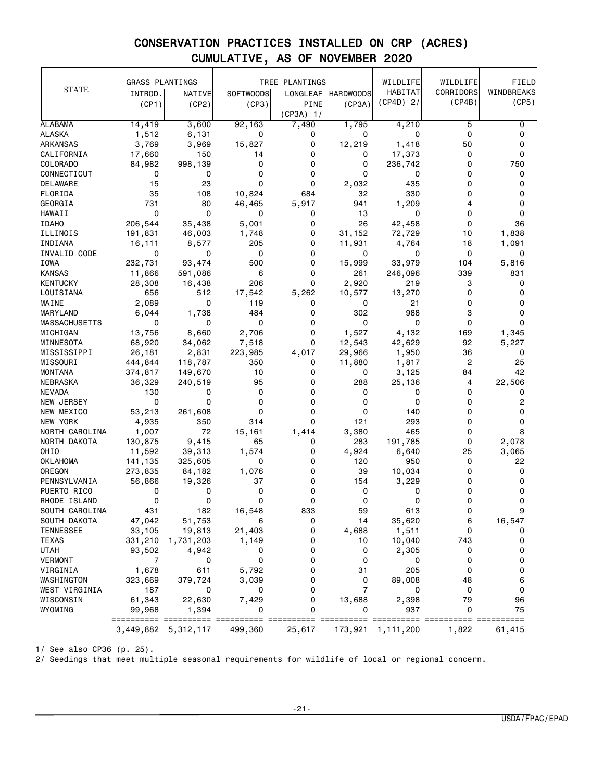|                      | <b>GRASS PLANTINGS</b> |                     |             | TREE PLANTINGS          |                  | WILDLIFE                 | WILDLIFE       | FIELD          |
|----------------------|------------------------|---------------------|-------------|-------------------------|------------------|--------------------------|----------------|----------------|
| <b>STATE</b>         | INTROD.                | NATIVE              | SOFTWOODS   | LONGLEAF                | <b>HARDWOODS</b> | HABITAT                  | CORRIDORS      | WINDBREAKS     |
|                      | (CP1)                  | (CP2)               | (CP3)       | PINE                    | (CP3A)           | $(CP4D)$ 2/              | (CP4B)         | (CP5)          |
|                      |                        |                     |             | $(CP3A)$ 1/             |                  |                          |                |                |
| ALABAMA              | 14,419                 | 3,600               | 92,163      | 7,490                   | 1,795            | 4,210                    | 5              | 0              |
| <b>ALASKA</b>        | 1,512                  | 6,131               | 0           | 0                       | 0                | 0                        | $\mathbf 0$    | 0              |
| <b>ARKANSAS</b>      | 3,769                  | 3,969               | 15,827      | 0                       | 12,219           | 1,418                    | 50             | 0              |
| CALIFORNIA           | 17,660                 | 150                 | 14          | 0                       | 0                | 17,373                   | 0              | 0              |
| COLORADO             | 84,982                 | 998,139             | 0           | 0                       | 0                | 236,742                  | 0              | 750            |
| CONNECTICUT          | 0                      | 0                   | 0           | 0                       | 0                | 0                        | 0              | 0              |
| DELAWARE             | 15                     | 23                  | 0           | 0                       | 2,032            | 435                      | 0              | 0              |
| FLORIDA              | 35                     | 108                 | 10,824      | 684                     | 32               | 330                      | 0              | 0              |
| GEORGIA              | 731                    | 80                  | 46,465      | 5,917                   | 941              | 1,209                    | 4              | 0              |
| <b>HAWAII</b>        | $\mathbf 0$            | $\mathbf 0$         | 0           | 0                       | 13               | 0                        | 0              | 0              |
| <b>IDAHO</b>         | 206,544                | 35,438              | 5,001       | 0                       | 26               | 42,458                   | 0              | 36             |
| ILLINOIS             | 191,831                | 46,003              | 1,748       | 0                       | 31,152           | 72,729                   | 10             | 1,838          |
| INDIANA              | 16,111                 | 8,577               | 205         | 0                       | 11,931           | 4,764                    | 18             | 1,091          |
| INVALID CODE         | 0                      | 0                   | 0           | 0                       | 0                | 0                        | 0              | 0              |
| IOWA                 | 232,731                | 93,474              | 500         | 0                       | 15,999           | 33,979                   | 104            | 5,816          |
| <b>KANSAS</b>        | 11,866                 | 591,086             | 6           | 0                       | 261              | 246,096                  | 339            | 831            |
| <b>KENTUCKY</b>      | 28,308                 | 16,438              | 206         | 0                       | 2,920            | 219                      | 3              | 0              |
| LOUISIANA            | 656                    | 512                 | 17,542      | 5,262                   | 10,577           | 13,270                   | $\mathbf 0$    | 0              |
| MAINE                | 2,089                  | 0                   | 119         | 0                       | 0                | 21                       | 0              | 0              |
| MARYLAND             | 6,044                  | 1,738               | 484         | 0                       | 302              | 988                      | 3              | 0              |
| <b>MASSACHUSETTS</b> | 0                      | 0                   | 0           | 0                       | 0                | 0                        | 0              | 0              |
| MICHIGAN             | 13,756                 | 8,660               | 2,706       | 0                       | 1,527            | 4,132                    | 169            | 1,345          |
| MINNESOTA            | 68,920                 | 34,062              | 7,518       | 0                       | 12,543           | 42,629                   | 92             | 5,227          |
| MISSISSIPPI          | 26,181                 | 2,831               | 223,985     | 4,017                   | 29,966           | 1,950                    | 36             | 0              |
| MISSOURI             | 444,844                | 118,787             | 350         | 0                       | 11,880           | 1,817                    | $\overline{c}$ | 25             |
| <b>MONTANA</b>       | 374,817                | 149,670             | 10          | 0                       | 0                | 3,125                    | 84             | 42             |
| NEBRASKA             | 36,329                 | 240,519             | 95          | 0                       | 288              | 25,136                   | 4              | 22,506         |
| <b>NEVADA</b>        | 130                    | 0                   | $\mathbf 0$ | 0                       | 0                | 0                        | 0              | 0              |
| NEW JERSEY           | 0                      | 0                   | 0           | 0                       | 0                | 0                        | 0              | 2              |
| NEW MEXICO           | 53,213                 | 261,608             | 0           | 0                       | 0                | 140                      | 0              | 0              |
| NEW YORK             | 4,935                  | 350                 | 314         | 0                       | 121              | 293                      | $\Omega$       | 0              |
| NORTH CAROLINA       | 1,007                  | 72                  | 15,161      | 1,414                   | 3,380            | 465                      | 0              | 8              |
| NORTH DAKOTA         | 130,875                | 9,415               | 65          | 0                       | 283              | 191,785                  | 0              | 2,078          |
| OHIO                 | 11,592                 | 39,313              | 1,574       | 0                       | 4,924            | 6,640                    | 25             | 3,065          |
| <b>OKLAHOMA</b>      | 141,135                | 325,605             | 0           | 0                       | 120              | 950                      | 0              | 22             |
| OREGON               | 273,835                | 84,182              | 1,076       | 0                       | 39               | 10,034                   | 0              | 0              |
| PENNSYLVANIA         | 56,866                 | 19,326              | 37          | 0                       | 154              | 3,229                    | 0              | 0              |
| PUERTO RICO          | 0                      | 0                   | 0           | 0                       | 0                | 0                        | 0              | 0              |
| RHODE ISLAND         | 0                      | 0                   | 0           | 0                       | 0                | 0                        | 0              | 0              |
| SOUTH CAROLINA       | 431                    | 182                 | 16,548      | 833                     | 59               | 613                      | O              |                |
| SOUTH DAKOTA         | 47,042                 | 51,753              | 6           | 0                       | 14               | 35,620                   | 6              | 16,547         |
| <b>TENNESSEE</b>     | 33,105                 | 19,813              | 21,403      | 0                       | 4,688            | 1,511                    | 0              | 0              |
| <b>TEXAS</b>         | 331,210                | 1,731,203           | 1,149       | 0                       | 10               | 10,040                   | 743            | 0              |
| <b>UTAH</b>          | 93,502                 | 4,942               | 0           | 0                       | 0                | 2,305                    | 0              | 0              |
| VERMONT              | 7                      | 0                   | 0           | 0                       | 0                | 0                        | 0              | 0              |
| VIRGINIA             | 1,678                  | 611                 | 5,792       | 0                       | 31               | 205                      | $\mathbf 0$    | 0              |
| WASHINGTON           | 323,669                | 379,724             | 3,039       | 0                       | 0                | 89,008                   | 48             | 6              |
| WEST VIRGINIA        | 187                    | 0                   | 0           | 0                       | $\overline{7}$   | 0                        | 0              | 0              |
| WISCONSIN            | 61,343                 | 22,630              | 7,429       | 0                       | 13,688           | 2,398                    | 79             | 96             |
| WYOMING              | 99,968                 | 1,394               | 0           | 0                       | 0                | 937                      | 0              | 75             |
|                      | ==================     | ==                  |             | ======== ========== === |                  | ======= ========== ===== | =====          | $=$ ========== |
|                      |                        | 3,449,882 5,312,117 | 499,360     | 25,617                  | 173,921          | 1,111,200                | 1,822          | 61,415         |

1/ See also CP36 (p. 25).

2/ Seedings that meet multiple seasonal requirements for wildlife of local or regional concern.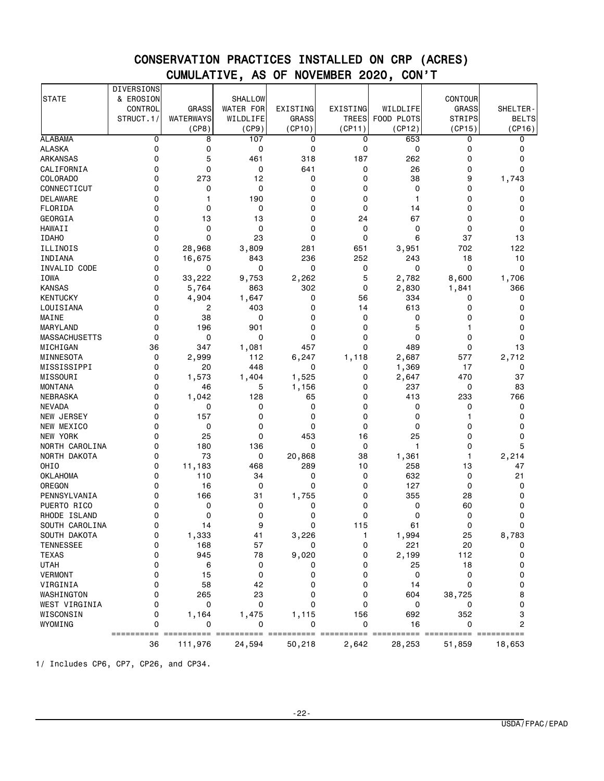|                          | DIVERSIONS       |              |                  |          |              |              |                |              |
|--------------------------|------------------|--------------|------------------|----------|--------------|--------------|----------------|--------------|
| <b>STATE</b>             | & EROSION        |              | <b>SHALLOW</b>   |          |              |              | <b>CONTOUR</b> |              |
|                          | CONTROL          | <b>GRASS</b> | <b>WATER FOR</b> | EXISTING | EXISTING     | WILDLIFE     | <b>GRASS</b>   | SHELTER-     |
|                          | STRUCT.1/        | WATERWAYS    | WILDLIFE         | GRASS    | <b>TREES</b> | FOOD PLOTS   | <b>STRIPS</b>  | <b>BELTS</b> |
|                          |                  | (CP8)        | (CP9)            | (CP10)   | (CP11)       | (CP12)       | (CP15)         | (CP16)       |
| <b>ALABAMA</b>           | 0                | 8            | 107              | 0        | 0            | 653          | 0              | 0            |
| <b>ALASKA</b>            | 0                | 0            | 0                | 0        | 0            | 0            | 0              | 0            |
| <b>ARKANSAS</b>          | 0                | 5            | 461              | 318      | 187          | 262          | 0              | 0            |
| CALIFORNIA               | 0                | 0            | 0                | 641      | 0            | 26           | $\mathbf 0$    | $\Omega$     |
| COLORADO                 | 0                | 273          | 12               | 0        | 0            | 38           | 9              | 1,743        |
| CONNECTICUT              | 0                | 0            | 0                | 0        | 0            | 0            | 0              | 0            |
| <b>DELAWARE</b>          | 0                | 1            | 190              | 0        | 0            | $\mathbf{1}$ | 0              | 0            |
| FLORIDA                  | 0                | 0            | 0                | 0        | 0            | 14           | 0              | 0            |
| GEORGIA                  | 0                | 13           | 13               | 0        | 24           | 67           | 0              | 0            |
| <b>HAWAII</b>            | 0                | 0            | 0                | 0        | 0            | 0            | $\mathbf 0$    | 0            |
| <b>IDAHO</b>             | 0                | 0            | 23               | 0        | 0            | 6            | 37             | 13           |
| ILLINOIS                 | 0                | 28,968       | 3,809            | 281      | 651          | 3,951        | 702            | 122          |
| INDIANA                  | 0                | 16,675       | 843              | 236      | 252          | 243          | 18             | 10           |
| INVALID CODE             | 0                | 0            | 0                | 0        | 0            | 0            | $\mathbf 0$    | 0            |
| <b>IOWA</b>              | 0                | 33,222       | 9,753            | 2,262    | 5            | 2,782        | 8,600          | 1,706        |
| <b>KANSAS</b>            | 0                |              | 863              | 302      | 0            |              | 1,841          | 366          |
| <b>KENTUCKY</b>          | 0                | 5,764        |                  | 0        | 56           | 2,830<br>334 | 0              | 0            |
| LOUISIANA                | 0                | 4,904        | 1,647<br>403     | 0        | 14           | 613          | 0              | 0            |
|                          | 0                | 2<br>38      |                  | 0        |              |              | 0              | 0            |
| MAINE<br><b>MARYLAND</b> | 0                |              | 0                | $\Omega$ | 0            | 0            | 1              | $\mathbf 0$  |
|                          |                  | 196          | 901              |          | 0            | 5            |                |              |
| <b>MASSACHUSETTS</b>     | 0                | 0            | 0                | 0        | 0            | 0            | $\mathbf 0$    | $\mathbf 0$  |
| MICHIGAN                 | 36               | 347          | 1,081            | 457      | 0            | 489          | 0              | 13           |
| <b>MINNESOTA</b>         | 0                | 2,999        | 112              | 6,247    | 1,118        | 2,687        | 577            | 2,712        |
| MISSISSIPPI              | 0                | 20           | 448              | 0        | 0            | 1,369        | 17             | 0            |
| MISSOURI                 | 0                | 1,573        | 1,404            | 1,525    | 0            | 2,647        | 470            | 37           |
| <b>MONTANA</b>           | $\Omega$         | 46           | 5                | 1,156    | 0            | 237          | 0              | 83           |
| <b>NEBRASKA</b>          | 0                | 1,042        | 128              | 65       | 0            | 413          | 233            | 766          |
| <b>NEVADA</b>            | 0                | 0            | 0                | 0        | 0            | 0            | 0              | 0            |
| NEW JERSEY               | 0                | 157          | 0                | 0        | 0            | 0            | 1              | 0            |
| NEW MEXICO               | 0                | 0            | 0                | 0        | 0            | 0            | 0              | 0            |
| <b>NEW YORK</b>          | 0                | 25           | 0                | 453      | 16           | 25           | 0              | 0            |
| NORTH CAROLINA           | 0                | 180          | 136              | 0        | 0            | 1            | 0              | 5            |
| NORTH DAKOTA             | 0                | 73           | 0                | 20,868   | 38           | 1,361        | 1              | 2,214        |
| OHIO                     | 0                | 11,183       | 468              | 289      | 10           | 258          | 13             | 47           |
| <b>OKLAHOMA</b>          | 0                | 110          | 34               | 0        | 0            | 632          | 0              | 21           |
| OREGON                   | 0                | 16           | 0                | 0        | 0            | 127          | $\mathbf 0$    | 0            |
| PENNSYLVANIA             | 0                | 166          | 31               | 1,755    | 0            | 355          | 28             | 0            |
| PUERTO RICO              | 0                | 0            | 0                | 0        | 0            | 0            | 60             | 0            |
| RHODE ISLAND             | 0                | 0            | 0                | 0        | 0            | 0            | 0              | 0            |
| SOUTH CAROLINA           | 0                | 14           | 9                | 0        | 115          | 61           | 0              |              |
| SOUTH DAKOTA             | 0                | 1,333        | 41               | 3,226    | 1            | 1,994        | 25             | 8,783        |
| <b>TENNESSEE</b>         | 0                | 168          | 57               | 0        | 0            | 221          | 20             | 0            |
| <b>TEXAS</b>             | 0                | 945          | 78               | 9,020    | 0            | 2,199        | 112            | 0            |
| <b>UTAH</b>              | 0                | 6            | 0                | 0        | 0            | 25           | 18             | 0            |
| <b>VERMONT</b>           | 0                | 15           | 0                | 0        | 0            | 0            | 0              | 0            |
| VIRGINIA                 | 0                | 58           | 42               | 0        | 0            | 14           | $\mathbf 0$    | 0            |
| WASHINGTON               | 0                | 265          | 23               | 0        | 0            | 604          | 38,725         | 8            |
| WEST VIRGINIA            | 0                | 0            | 0                | 0        | 0            | 0            | 0              | 0            |
| WISCONSIN                | 0                | 1,164        | 1,475            | 1,115    | 156          | 692          | 352            | 3            |
| WYOMING                  | 0                | 0            | 0                | 0        | 0            | 16           | 0              | 2            |
|                          | ==========<br>36 | 111,976      | 24,594           | 50,218   | 2,642        | 28,253       | ====<br>51,859 | 18,653       |
|                          |                  |              |                  |          |              |              |                |              |

1/ Includes CP6, CP7, CP26, and CP34.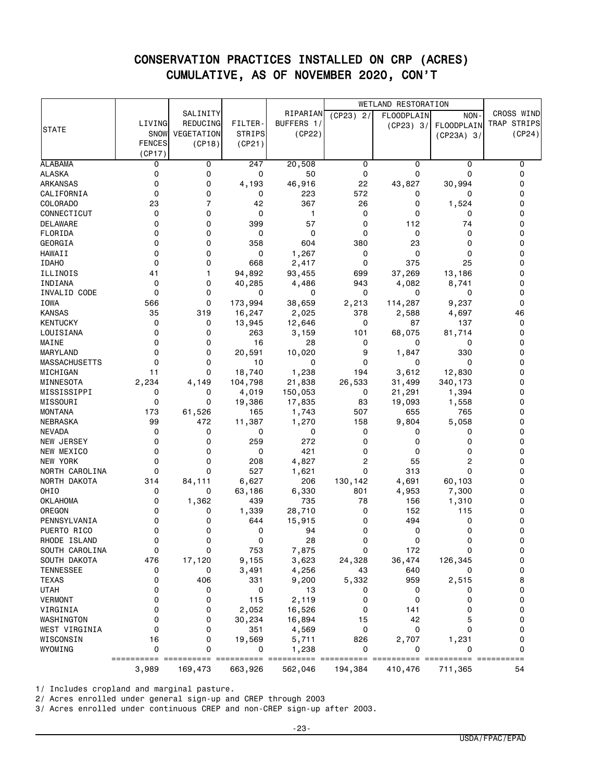|                            |               |                 |                  |                 | <b>WETLAND RESTORATION</b> |                   |                   |                    |
|----------------------------|---------------|-----------------|------------------|-----------------|----------------------------|-------------------|-------------------|--------------------|
|                            |               | SALINITY        |                  | RIPARIAN        | $(CP23)$ 2/                | <b>FLOODPLAIN</b> | NON-              | <b>CROSS WIND</b>  |
|                            | LIVING        | <b>REDUCING</b> | FILTER-          | BUFFERS 1/      |                            | (CP23) 3/         | <b>FLOODPLAIN</b> | <b>TRAP STRIPS</b> |
| <b>STATE</b>               | SNOW          | VEGETATION      | <b>STRIPS</b>    | (CP22)          |                            |                   | (CP23A) 3/        | (CP24)             |
|                            | <b>FENCES</b> | (CP18)          | (CP21)           |                 |                            |                   |                   |                    |
|                            | (CP17)        |                 |                  |                 |                            |                   |                   |                    |
| <b>ALABAMA</b>             | 0             | 0               | 247              | 20,508          | 0                          | 0                 | 0                 | 0                  |
| <b>ALASKA</b>              | 0             | 0               | 0                | 50              | 0                          | 0                 | 0                 | 0                  |
| <b>ARKANSAS</b>            | 0             | 0               | 4,193            | 46,916          | 22                         | 43,827            | 30,994            | 0                  |
| CALIFORNIA                 | 0             | 0               | 0                | 223             | 572                        | 0                 | 0                 | 0                  |
| COLORADO                   | 23            | $\overline{7}$  | 42               | 367             | 26                         | 0                 | 1,524             | 0                  |
| CONNECTICUT                | 0             | 0               | 0                | $\mathbf{1}$    | 0                          | 0                 | 0                 | 0                  |
| <b>DELAWARE</b>            | 0             | 0               | 399              | 57              | 0                          | 112               | 74                | 0                  |
| FLORIDA                    | 0             | 0               | 0                | 0               | 0                          | 0                 | 0                 | 0                  |
| GEORGIA                    | 0             | 0               | 358              | 604             | 380                        | 23                | 0                 | 0                  |
| <b>HAWAII</b>              | 0             | 0               | 0                | 1,267           | 0                          | 0                 | 0                 | 0                  |
| <b>IDAHO</b>               | 0             | 0               | 668              | 2,417           | 0                          | 375               | 25                | 0                  |
| ILLINOIS                   | 41            | 1               | 94,892           | 93,455          | 699                        | 37,269            | 13,186            | 0                  |
| INDIANA                    | 0             | 0               | 40,285           | 4,486           | 943                        | 4,082             | 8,741             | 0                  |
| INVALID CODE               | 0             | 0               | 0                | 0               | 0                          | 0                 | 0                 | 0<br>0             |
| IOWA<br><b>KANSAS</b>      | 566<br>35     | 0<br>319        | 173,994          | 38,659          | 2,213<br>378               | 114,287           | 9,237             | 46                 |
| <b>KENTUCKY</b>            | 0             | 0               | 16,247<br>13,945 | 2,025           | 0                          | 2,588<br>87       | 4,697<br>137      | 0                  |
| LOUISIANA                  | 0             | 0               | 263              | 12,646<br>3,159 | 101                        | 68,075            | 81,714            | 0                  |
| MAINE                      | 0             | 0               | 16               | 28              | 0                          | 0                 | 0                 | 0                  |
| <b>MARYLAND</b>            | 0             | 0               | 20,591           | 10,020          | 9                          | 1,847             | 330               | 0                  |
| <b>MASSACHUSETTS</b>       | 0             | 0               | 10               | 0               | 0                          | 0                 | 0                 | 0                  |
| MICHIGAN                   | 11            | $\Omega$        | 18,740           | 1,238           | 194                        | 3,612             | 12,830            | 0                  |
| MINNESOTA                  | 2,234         | 4,149           | 104,798          | 21,838          | 26,533                     | 31,499            | 340, 173          | 0                  |
| MISSISSIPPI                | 0             | 0               | 4,019            | 150,053         | 0                          | 21,291            | 1,394             | 0                  |
| MISSOURI                   | 0             | 0               | 19,386           | 17,835          | 83                         | 19,093            | 1,558             | 0                  |
| <b>MONTANA</b>             | 173           | 61,526          | 165              | 1,743           | 507                        | 655               | 765               | 0                  |
| NEBRASKA                   | 99            | 472             | 11,387           | 1,270           | 158                        | 9,804             | 5,058             | 0                  |
| <b>NEVADA</b>              | 0             | 0               | 0                | 0               | 0                          | 0                 | 0                 | 0                  |
| <b>NEW JERSEY</b>          | 0             | 0               | 259              | 272             | 0                          | 0                 | $\Omega$          | 0                  |
| NEW MEXICO                 | 0             | 0               | 0                | 421             | 0                          | 0                 | 0                 | 0                  |
| <b>NEW YORK</b>            | 0             | 0               | 208              | 4,827           | 2                          | 55                | $\overline{c}$    | 0                  |
| NORTH CAROLINA             | 0             | 0               | 527              | 1,621           | 0                          | 313               | $\Omega$          | 0                  |
| NORTH DAKOTA               | 314           | 84,111          | 6,627            | 206             | 130, 142                   | 4,691             | 60,103            | 0                  |
| OHIO                       | 0             | 0               | 63,186           | 6,330           | 801                        | 4,953             | 7,300             | 0                  |
| <b>OKLAHOMA</b>            | 0             | 1,362           | 439              | 735             | 78                         | 156               | 1,310             | 0                  |
| OREGON                     | 0             | 0               | 1,339            | 28,710          | 0                          | 152               | 115               | 0                  |
| PENNSYLVANIA               | 0             | 0               | 644              | 15,915          | 0                          | 494               | 0                 | 0                  |
| PUERTO RICO                | 0             | 0               | 0                | 94              | 0                          | 0                 | 0                 | $\mathbf 0$        |
| RHODE ISLAND               | 0             | 0               | 0                | 28              | 0                          | 0                 | 0                 | 0                  |
| SOUTH CAROLINA             | 0             | 0               | 753              | 7,875           | 0                          | 172               | 0                 | 0                  |
| SOUTH DAKOTA               | 476           | 17,120          | 9,155            | 3,623           | 24,328                     | 36,474            | 126,345           | 0                  |
| <b>TENNESSEE</b>           | 0             | 0               | 3,491            | 4,256           | 43                         | 640               | 0                 | 0                  |
| <b>TEXAS</b>               | 0             | 406             | 331              | 9,200           | 5,332                      | 959               | 2,515             | 8                  |
| <b>UTAH</b>                | 0             | 0               | 0                | 13              | 0                          | 0                 | 0                 | 0                  |
| <b>VERMONT</b>             | 0             | 0               | 115              | 2,119           | 0                          | 0                 | 0                 | 0                  |
| VIRGINIA                   | 0<br>0        | 0               | 2,052            | 16,526          | 0                          | 141               | 0                 | 0<br>0             |
| WASHINGTON                 | 0             | 0               | 30,234<br>351    | 16,894          | 15                         | 42<br>0           | 5<br>0            | 0                  |
| WEST VIRGINIA<br>WISCONSIN | 16            | 0<br>0          | 19,569           | 4,569           | 0<br>826                   |                   |                   | 0                  |
| WYOMING                    | 0             | 0               | 0                | 5,711<br>1,238  | 0                          | 2,707<br>0        | 1,231<br>0        | 0                  |
|                            |               |                 |                  |                 |                            |                   |                   |                    |
|                            | 3,989         | 169,473         | 663,926          | 562,046         | 194,384                    | 410,476           | 711,365           | 54                 |

1/ Includes cropland and marginal pasture.

2/ Acres enrolled under general sign-up and CREP through 2003

3/ Acres enrolled under continuous CREP and non-CREP sign-up after 2003.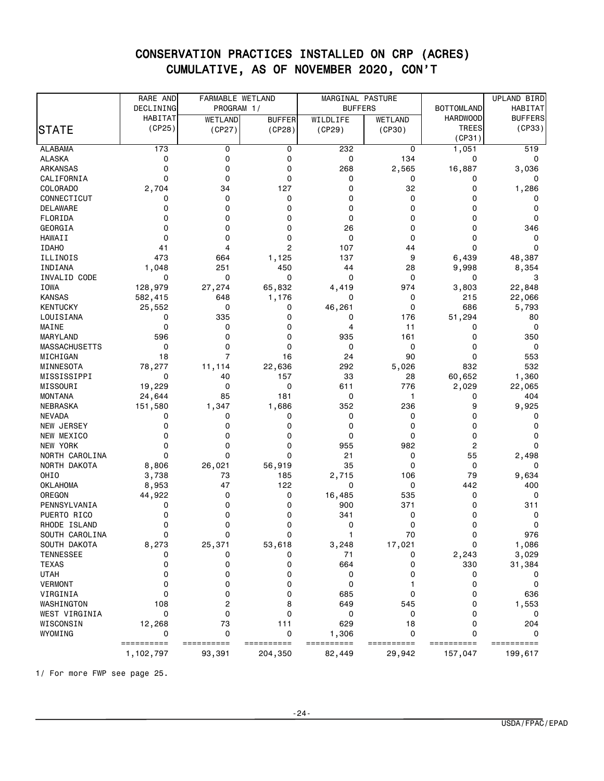|                                | RARE AND       | FARMABLE WETLAND |                | MARGINAL PASTURE |            |                   | UPLAND BIRD    |
|--------------------------------|----------------|------------------|----------------|------------------|------------|-------------------|----------------|
|                                | DECLINING      | PROGRAM 1/       |                | <b>BUFFERS</b>   |            | <b>BOTTOMLAND</b> | <b>HABITAT</b> |
|                                | <b>HABITAT</b> | WETLAND          | <b>BUFFER</b>  | WILDLIFE         | WETLAND    | <b>HARDWOOD</b>   | <b>BUFFERS</b> |
| <b>STATE</b>                   | (CP25)         | (CP27)           | (CP28)         | (CP29)           | (CP30)     | <b>TREES</b>      | (CP33)         |
|                                |                |                  |                |                  |            | (CP31)            |                |
| <b>ALABAMA</b>                 | 173            | 0                | 0              | 232              | 0          | 1,051             | 519            |
| <b>ALASKA</b>                  | 0              | 0                | 0              | 0                | 134        | 0                 | 0              |
| <b>ARKANSAS</b>                | 0              | 0                | 0              | 268              | 2,565      | 16,887            | 3,036          |
| CALIFORNIA                     | 0              | $\Omega$         | 0              | 0                | 0          | 0                 | 0              |
| COLORADO                       | 2,704          | 34               | 127            | 0                | 32         | 0                 | 1,286          |
| CONNECTICUT                    | 0              | 0                | 0              | 0                | 0          | 0                 | 0              |
| <b>DELAWARE</b>                | 0              | 0                | 0              | 0                | 0          | 0                 | 0              |
| FLORIDA                        | 0              | 0                | 0              | 0                | 0          | 0                 | 0              |
| GEORGIA                        | 0              | 0                | 0              | 26               | 0          | 0                 | 346            |
| HAWAII                         | 0              | 0                | 0              | 0                | 0          | 0                 | 0              |
| <b>IDAHO</b>                   | 41             | 4                | $\overline{c}$ | 107              | 44         | 0                 | 0              |
| ILLINOIS                       | 473            | 664              | 1,125          | 137              | 9          | 6,439             | 48,387         |
| INDIANA                        | 1,048          | 251              | 450            | 44               | 28         | 9,998             | 8,354          |
| INVALID CODE                   | 0              | 0                | 0              | 0                | 0          | 0                 | 3              |
| IOWA                           | 128,979        | 27,274           | 65,832         | 4,419            | 974        | 3,803             | 22,848         |
| <b>KANSAS</b>                  | 582,415        | 648              | 1,176          | 0                | 0          | 215               | 22,066         |
| <b>KENTUCKY</b>                | 25,552         | 0                | 0              | 46,261           | 0          | 686               | 5,793          |
| LOUISIANA                      | 0              | 335              | 0              | 0                | 176        | 51,294            | 80             |
| MAINE                          | 0              | 0                | 0              | 4                | 11         | 0                 | 0              |
| MARYLAND                       | 596            | 0                | 0              | 935              | 161        | 0                 | 350            |
| <b>MASSACHUSETTS</b>           | 0              | $\Omega$         | 0              | 0                | 0          | 0                 | 0              |
| MICHIGAN                       | 18             | $\overline{7}$   | 16             | 24               | 90         | 0                 | 553            |
| MINNESOTA                      | 78,277         | 11,114           | 22,636         | 292              | 5,026      | 832               | 532            |
| MISSISSIPPI                    | 0              | 40               | 157            | 33               | 28         | 60,652            | 1,360          |
| MISSOURI                       | 19,229         | 0                | 0              | 611              | 776        | 2,029             | 22,065         |
| <b>MONTANA</b>                 | 24,644         | 85               | 181            | 0                | 1          | 0                 | 404            |
| NEBRASKA                       | 151,580        | 1,347            | 1,686          | 352              | 236        | 9                 | 9,925          |
| <b>NEVADA</b>                  | 0              | 0                | 0              | 0                | 0          | 0                 | 0              |
| NEW JERSEY                     | 0              | 0                | 0              | 0                | 0          | 0                 | 0              |
| NEW MEXICO                     | 0              | 0                | 0              | 0                | 0          | 0                 | 0              |
| NEW YORK                       | 0              | 0                | 0              | 955              | 982        | 2                 | 0              |
| NORTH CAROLINA                 | 0              | 0                | 0              | 21               | 0          | 55                | 2,498          |
| NORTH DAKOTA                   | 8,806          | 26,021           | 56,919         | 35               | 0          | 0                 | 0              |
| OHIO                           | 3,738          | 73               | 185            | 2,715            | 106        | 79                | 9,634          |
| <b>OKLAHOMA</b>                | 8,953          | 47               | 122            | 0                | 0          | 442               | 400            |
| OREGON                         | 44,922         | 0                | 0              | 16,485           | 535        | 0                 | 0              |
| PENNSYLVANIA                   | 0              | 0                | 0              | 900              | 371        | 0                 | 311            |
| PUERTO RICO<br>RHODE ISLAND    | 0<br>0         | 0<br>0           | 0<br>0         | 341<br>0         | 0<br>0     | 0<br>0            | 0<br>0         |
|                                |                | 0                |                | -1               | 70         |                   | 976            |
| SOUTH CAROLINA<br>SOUTH DAKOTA | 0<br>8,273     | 25,371           | 0              | 3,248            | 17,021     | 0<br>0            | 1,086          |
| <b>TENNESSEE</b>               | 0              | 0                | 53,618<br>0    | 71               | 0          | 2,243             | 3,029          |
| <b>TEXAS</b>                   | 0              | 0                | 0              | 664              | 0          | 330               | 31,384         |
| <b>UTAH</b>                    | 0              | 0                | 0              | 0                | 0          | 0                 |                |
| <b>VERMONT</b>                 | 0              | 0                | 0              | 0                |            | 0                 | 0              |
| VIRGINIA                       | 0              | 0                | 0              | 685              | 0          | 0                 | 636            |
| WASHINGTON                     | 108            | 2                | 8              | 649              | 545        | 0                 | 1,553          |
| WEST VIRGINIA                  | 0              | 0                | 0              | 0                | 0          | 0                 | 0              |
| WISCONSIN                      | 12,268         | 73               | 111            | 629              | 18         | 0                 | 204            |
| WYOMING                        | 0              | 0                | 0              | 1,306            | 0          | 0                 | 0              |
|                                | ==========     | ==========       | ==========     | ==========       | ========== | ==========        | ==========     |
|                                | 1,102,797      | 93,391           | 204,350        | 82,449           | 29,942     | 157,047           | 199,617        |

1/ For more FWP see page 25.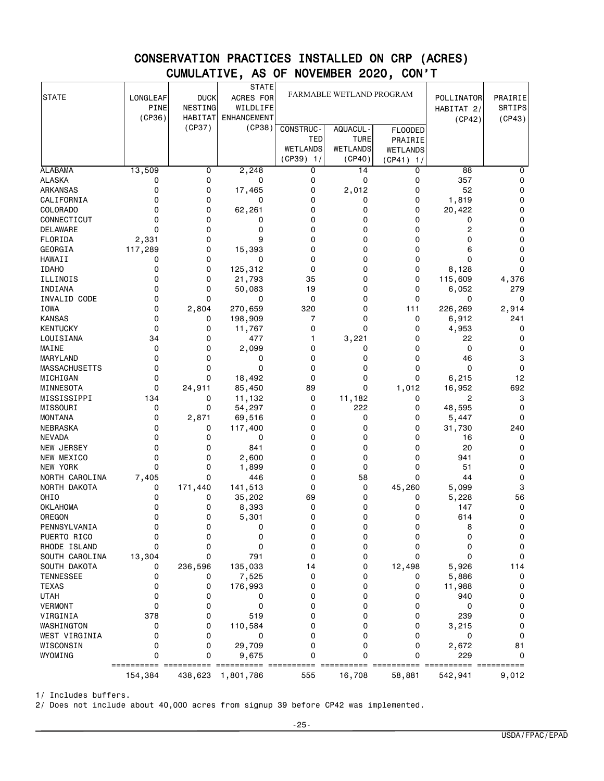| <b>STATE</b>               | LONGLEAF              | <b>DUCK</b>               | <b>STATE</b><br>ACRES FOR      | FARMABLE WETLAND PROGRAM |                              |                               | POLLINATOR        | PRAIRIE          |
|----------------------------|-----------------------|---------------------------|--------------------------------|--------------------------|------------------------------|-------------------------------|-------------------|------------------|
|                            | <b>PINE</b><br>(CP36) | NESTING<br><b>HABITAT</b> | WILDLIFE<br><b>ENHANCEMENT</b> |                          |                              |                               | HABITAT 2/        | SRTIPS<br>(CP43) |
|                            |                       | (CP37)                    | (CP38)                         | CONSTRUC-                | AQUACUL -                    | <b>FLOODED</b>                | (CP42)            |                  |
|                            |                       |                           |                                | TED                      | <b>TURE</b>                  | PRAIRIE                       |                   |                  |
|                            |                       |                           |                                | <b>WETLANDS</b>          | <b>WETLANDS</b>              | <b>WETLANDS</b>               |                   |                  |
|                            |                       |                           |                                | $(CP39)$ 1/              | (CP40)                       | $(CP41)$ 1/                   |                   |                  |
| <b>ALABAMA</b>             | 13,509                | 0                         | 2,248                          | 0                        | 14                           | 0                             | 88                | 0                |
| <b>ALASKA</b>              | 0                     | 0                         | 0                              | 0                        | 0                            | 0                             | 357               | 0                |
| ARKANSAS                   | 0                     | 0                         | 17,465                         | 0                        | 2,012                        | 0                             | 52                | 0                |
| CALIFORNIA                 | 0                     | 0                         | 0                              | 0                        | 0                            | 0                             | 1,819             | 0                |
| COLORADO                   | 0                     | 0                         | 62,261                         | 0                        | 0                            | 0                             | 20,422            | 0                |
| CONNECTICUT                | 0                     | 0                         | 0                              | 0                        | 0                            | 0                             | 0                 | 0                |
| <b>DELAWARE</b>            | 0                     | 0                         | 0                              | 0                        | 0                            | 0                             | 2                 | 0                |
| FLORIDA                    | 2,331                 | 0                         | 9                              | 0                        | 0                            | 0                             | 0                 | 0                |
| GEORGIA                    | 117,289               | 0                         | 15,393                         | 0                        | 0                            | 0                             | 6                 | 0                |
| HAWAII                     | 0                     | 0                         | 0                              | 0                        | 0                            | 0                             | 0                 | 0                |
| <b>IDAHO</b>               | 0                     | 0                         | 125,312                        | 0                        | 0                            | 0                             | 8,128             | 0                |
| ILLINOIS                   | 0                     | 0                         | 21,793                         | 35                       | 0                            | 0                             | 115,609           | 4,376            |
| INDIANA                    | 0                     | 0                         | 50,083                         | 19                       | 0                            | 0                             | 6,052             | 279              |
| INVALID CODE               | 0                     | $\Omega$                  | 0                              | 0                        | 0                            | 0                             | 0                 | 0                |
| IOWA                       | 0                     | 2,804                     | 270,659                        | 320                      | 0                            | 111                           | 226,269           | 2,914            |
| <b>KANSAS</b>              | 0                     | 0                         | 198,909                        | 7                        | 0                            | 0                             | 6,912             | 241              |
| KENTUCKY                   | 0                     | 0                         | 11,767                         | 0                        | 0                            | 0                             | 4,953             | 0                |
| LOUISIANA                  | 34                    | 0                         | 477                            | 1                        | 3,221                        | 0                             | 22                | 0                |
| MAINE                      | 0                     | 0                         | 2,099                          | 0                        | 0                            | 0                             | 0                 | 0                |
| MARYLAND                   | 0                     | 0                         | 0                              | 0                        | 0                            | 0                             | 46                | 3                |
| <b>MASSACHUSETTS</b>       | 0                     | 0                         | 0                              | $\Omega$                 | 0                            | 0                             | 0                 | 0                |
| MICHIGAN                   | 0                     | 0                         | 18,492                         | 0                        | 0                            | 0                             | 6,215             | 12               |
| MINNESOTA                  | 0                     | 24,911                    | 85,450                         | 89                       | 0                            | 1,012                         | 16,952            | 692              |
| MISSISSIPPI                | 134<br>0              | 0<br>0                    | 11,132                         | 0                        | 11,182<br>222                | 0                             | 2                 | 3                |
| MISSOURI<br><b>MONTANA</b> | 0                     |                           | 54,297<br>69,516               | 0<br>0                   | 0                            | 0<br>0                        | 48,595            | 0<br>0           |
| NEBRASKA                   | 0                     | 2,871<br>0                | 117,400                        | 0                        | 0                            | 0                             | 5,447<br>31,730   | 240              |
| <b>NEVADA</b>              | 0                     | 0                         | 0                              | 0                        | 0                            | 0                             | 16                | 0                |
| <b>NEW JERSEY</b>          | 0                     | 0                         | 841                            | 0                        | 0                            | 0                             | 20                | 0                |
| NEW MEXICO                 | 0                     | 0                         | 2,600                          | 0                        | 0                            | 0                             | 941               | 0                |
| <b>NEW YORK</b>            | 0                     | 0                         | 1,899                          | 0                        | 0                            | 0                             | 51                | 0                |
| NORTH CAROLINA             | 7,405                 | 0                         | 446                            | 0                        | 58                           | 0                             | 44                | 0                |
| NORTH DAKOTA               | 0                     | 171,440                   | 141,513                        | 0                        | 0                            | 45,260                        | 5,099             | 3                |
| OHI <sub>0</sub>           | 0                     | 0                         | 35,202                         | 69                       | 0                            | 0                             | 5,228             | 56               |
| <b>OKLAHOMA</b>            | 0                     | 0                         | 8,393                          | 0                        | 0                            | 0                             | 147               | 0                |
| OREGON                     | 0                     | 0                         | 5,301                          | 0                        | 0                            | 0                             | 614               | 0                |
| PENNSYLVANIA               | 0                     | 0                         | 0                              | 0                        | 0                            | 0                             | 8                 | 0                |
| PUERTO RICO                | 0                     | 0                         | 0                              | 0                        | 0                            | 0                             | 0                 | 0                |
| RHODE ISLAND               | 0                     | 0                         | 0                              | 0                        | 0                            | 0                             | 0                 | 0                |
| SOUTH CAROLINA             | 13,304                | 0                         | 791                            | 0                        | 0                            | 0                             | 0                 | 0                |
| SOUTH DAKOTA               | 0                     | 236,596                   | 135,033                        | 14                       | 0                            | 12,498                        | 5,926             | 114              |
| <b>TENNESSEE</b>           | 0                     | 0                         | 7,525                          | 0                        | 0                            | 0                             | 5,886             | 0                |
| <b>TEXAS</b>               | 0                     | 0                         | 176,993                        | 0                        | 0                            | 0                             | 11,988            | 0                |
| <b>UTAH</b>                | 0                     | 0                         | 0                              | 0                        | 0                            | 0                             | 940               | 0                |
| <b>VERMONT</b>             | 0                     | 0                         | 0                              | 0                        | 0                            | 0                             | 0                 | 0                |
| VIRGINIA                   | 378                   | 0                         | 519                            | 0                        | 0                            | 0                             | 239               | 0                |
| WASHINGTON                 | 0                     | 0                         | 110,584                        | 0                        | 0                            | 0                             | 3,215             | 0                |
| WEST VIRGINIA              | 0                     | 0                         | 0                              | 0                        | 0                            | 0                             | 0                 | 0                |
| WISCONSIN                  | 0                     | 0                         | 29,709                         | 0                        | 0                            | 0                             | 2,672             | 81               |
| WYOMING                    | 0<br>==========       | 0                         | 9,675                          | $\mathbf 0$              | 0<br>$=$ $=$ $=$ $=$ $=$ $=$ | 0<br>=====<br>$=$ $=$ $=$ $=$ | 229<br>===== ==== | $\mathbf 0$      |
|                            | 154,384               | 438,623                   | 1,801,786                      | 555                      | 16,708                       | 58,881                        | 542,941           | 9,012            |

1/ Includes buffers.

2/ Does not include about 40,000 acres from signup 39 before CP42 was implemented.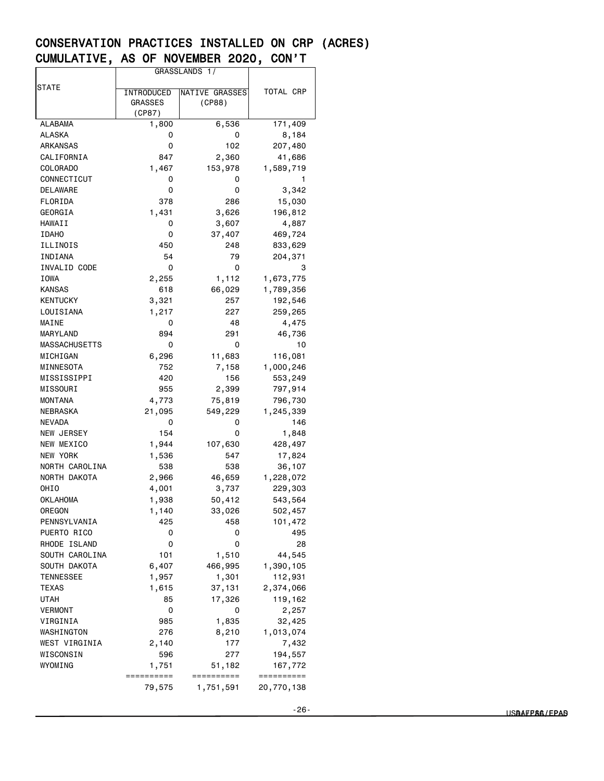|                 | GRASSLANDS 1/                |                          |            |  |
|-----------------|------------------------------|--------------------------|------------|--|
| STATE           |                              |                          | TOTAL CRP  |  |
|                 | INTRODUCED<br><b>GRASSES</b> | NATIVE GRASSES<br>(CP88) |            |  |
|                 | (CP87)                       |                          |            |  |
| <b>ALABAMA</b>  | 1,800                        | 6,536                    | 171,409    |  |
| ALASKA          | 0                            | 0                        | 8,184      |  |
| ARKANSAS        | 0                            | 102                      | 207,480    |  |
| CALIFORNIA      | 847                          | 2,360                    | 41,686     |  |
| <b>COLORADO</b> | 1,467                        | 153,978                  | 1,589,719  |  |
| CONNECTICUT     | 0                            | 0                        | 1          |  |
| DELAWARE        | 0                            | 0                        | 3,342      |  |
| FLORIDA         | 378                          | 286                      | 15,030     |  |
| GEORGIA         | 1,431                        | 3,626                    | 196,812    |  |
| HAWAII          | 0                            | 3,607                    | 4,887      |  |
| <b>IDAHO</b>    | 0                            | 37,407                   | 469,724    |  |
| ILLINOIS        | 450                          | 248                      | 833,629    |  |
| INDIANA         | 54                           | 79                       | 204,371    |  |
| INVALID CODE    | 0                            | 0                        | 3          |  |
| IOWA            | 2,255                        | 1,112                    | 1,673,775  |  |
| KANSAS          | 618                          | 66,029                   | 1,789,356  |  |
| <b>KENTUCKY</b> | 3,321                        | 257                      | 192,546    |  |
| LOUISIANA       | 1,217                        | 227                      | 259,265    |  |
| MAINE           | 0                            | 48                       | 4,475      |  |
| MARYLAND        | 894                          | 291                      | 46,736     |  |
| MASSACHUSETTS   | 0                            | 0                        | 10         |  |
| MICHIGAN        | 6,296                        | 11,683                   | 116,081    |  |
| MINNESOTA       | 752                          | 7,158                    | 1,000,246  |  |
| MISSISSIPPI     | 420                          | 156                      | 553,249    |  |
| MISSOURI        | 955                          | 2,399                    | 797,914    |  |
| <b>MONTANA</b>  | 4,773                        | 75,819                   | 796,730    |  |
| NEBRASKA        | 21,095                       | 549,229                  | 1,245,339  |  |
| NEVADA          | 0                            | 0                        | 146        |  |
| NEW JERSEY      | 154                          | 0                        | 1,848      |  |
| NEW MEXICO      | 1,944                        | 107,630                  | 428,497    |  |
| <b>NEW YORK</b> | 1,536                        | 547                      | 17,824     |  |
| NORTH CAROLINA  | 538                          | 538                      | 36,107     |  |
| NORTH DAKOTA    | 2,966                        | 46,659                   | 1,228,072  |  |
| OHIO            | 4,001                        | 3,737                    | 229,303    |  |
| OKLAHOMA        | 1,938                        | 50,412                   | 543,564    |  |
| OREGON          | 1,140                        | 33,026                   | 502,457    |  |
| PENNSYLVANIA    | 425                          | 458                      | 101,472    |  |
| PUERTO RICO     | 0                            | 0                        | 495        |  |
| RHODE ISLAND    | 0                            | 0                        | 28         |  |
| SOUTH CAROLINA  | 101                          | 1,510                    | 44,545     |  |
| SOUTH DAKOTA    | 6,407                        | 466,995                  | 1,390,105  |  |
| TENNESSEE       | 1,957                        | 1,301                    | 112,931    |  |
| TEXAS           | 1,615                        | 37,131                   | 2,374,066  |  |
| UTAH            | 85                           | 17,326                   | 119,162    |  |
| <b>VERMONT</b>  | 0                            | 0                        | 2,257      |  |
| VIRGINIA        | 985                          | 1,835                    | 32,425     |  |
| WASHINGTON      | 276                          | 8,210                    | 1,013,074  |  |
| WEST VIRGINIA   | 2,140                        | 177                      | 7,432      |  |
| WISCONSIN       | 596                          | 277                      | 194,557    |  |
| WYOMING         | 1,751                        | 51,182                   | 167,772    |  |
|                 | ==========                   | ==========               | ========== |  |
|                 | 79,575                       | 1,751,591                | 20,770,138 |  |
|                 |                              |                          |            |  |